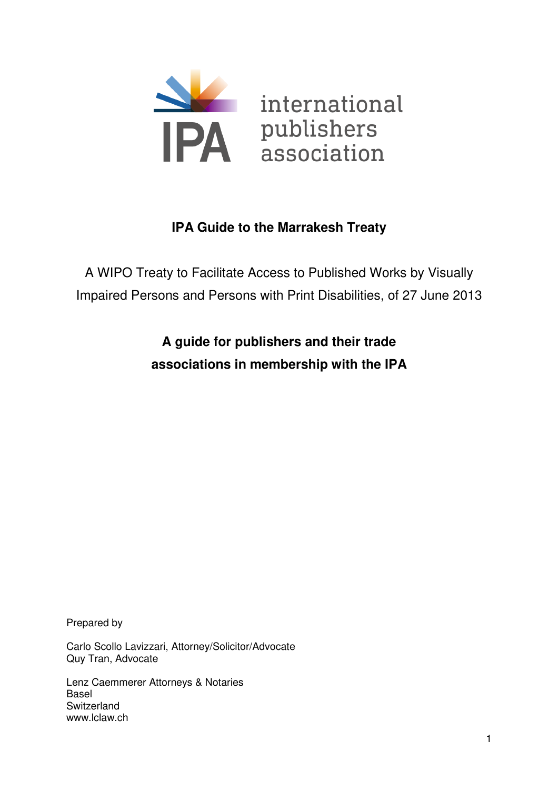

# **IPA Guide to the Marrakesh Treaty**

A WIPO Treaty to Facilitate Access to Published Works by Visually Impaired Persons and Persons with Print Disabilities, of 27 June 2013

> **A guide for publishers and their trade associations in membership with the IPA**

Prepared by

Carlo Scollo Lavizzari, Attorney/Solicitor/Advocate Quy Tran, Advocate

Lenz Caemmerer Attorneys & Notaries Basel **Switzerland** www.lclaw.ch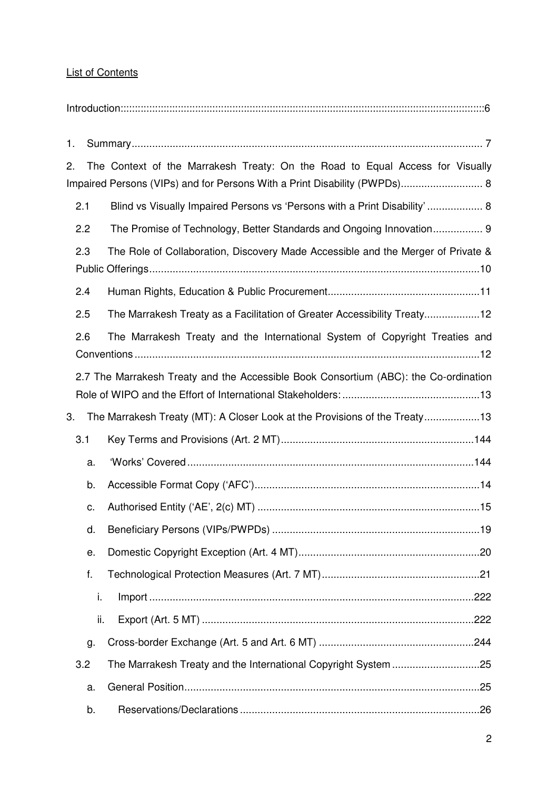# List of Contents

# Introduction:::::::::::::::::::::::::::::::::::::::::::::::::::::::::::::::::::::::::::::::::::::::::::::::::::::::::::::::::::::::::::::::6

| 1. |     |                                                                                                                                                            |
|----|-----|------------------------------------------------------------------------------------------------------------------------------------------------------------|
| 2. |     | The Context of the Marrakesh Treaty: On the Road to Equal Access for Visually<br>Impaired Persons (VIPs) and for Persons With a Print Disability (PWPDs) 8 |
|    | 2.1 | Blind vs Visually Impaired Persons vs 'Persons with a Print Disability' 8                                                                                  |
|    | 2.2 | The Promise of Technology, Better Standards and Ongoing Innovation 9                                                                                       |
|    | 2.3 | The Role of Collaboration, Discovery Made Accessible and the Merger of Private &                                                                           |
|    | 2.4 |                                                                                                                                                            |
|    | 2.5 | The Marrakesh Treaty as a Facilitation of Greater Accessibility Treaty12                                                                                   |
|    | 2.6 | The Marrakesh Treaty and the International System of Copyright Treaties and                                                                                |
|    |     | 2.7 The Marrakesh Treaty and the Accessible Book Consortium (ABC): the Co-ordination                                                                       |
| 3. |     | The Marrakesh Treaty (MT): A Closer Look at the Provisions of the Treaty13                                                                                 |
|    | 3.1 |                                                                                                                                                            |
|    | a.  |                                                                                                                                                            |
|    | b.  |                                                                                                                                                            |
|    | c.  |                                                                                                                                                            |
|    | d.  |                                                                                                                                                            |
|    | е.  |                                                                                                                                                            |
|    | f.  |                                                                                                                                                            |
|    | i.  |                                                                                                                                                            |
|    | ii. |                                                                                                                                                            |
|    | g.  |                                                                                                                                                            |
|    | 3.2 |                                                                                                                                                            |
|    | a.  |                                                                                                                                                            |
|    | b.  |                                                                                                                                                            |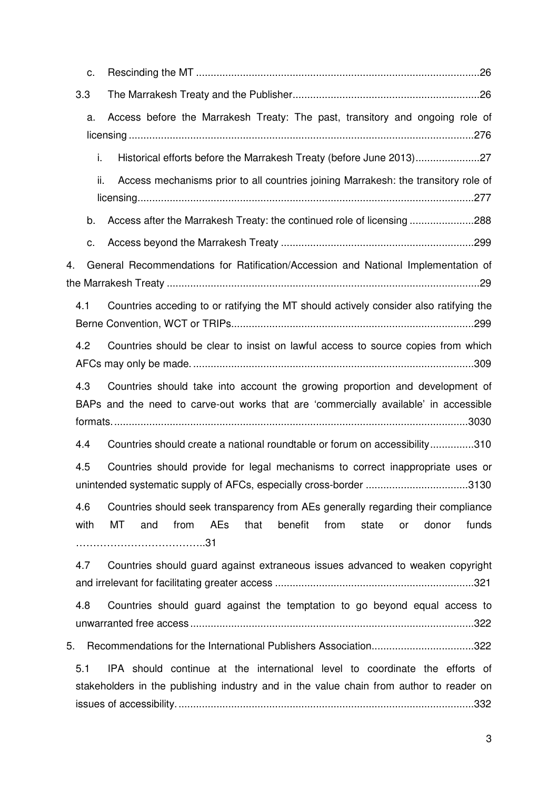| c.          |                                                                                                                                                                          |
|-------------|--------------------------------------------------------------------------------------------------------------------------------------------------------------------------|
| 3.3         |                                                                                                                                                                          |
| a.          | Access before the Marrakesh Treaty: The past, transitory and ongoing role of                                                                                             |
| i.          | Historical efforts before the Marrakesh Treaty (before June 2013)27                                                                                                      |
| ii.         | Access mechanisms prior to all countries joining Marrakesh: the transitory role of                                                                                       |
| b.          | Access after the Marrakesh Treaty: the continued role of licensing288                                                                                                    |
| c.          |                                                                                                                                                                          |
| 4.          | General Recommendations for Ratification/Accession and National Implementation of                                                                                        |
| 4.1         | Countries acceding to or ratifying the MT should actively consider also ratifying the                                                                                    |
| 4.2         | Countries should be clear to insist on lawful access to source copies from which                                                                                         |
| 4.3         | Countries should take into account the growing proportion and development of<br>BAPs and the need to carve-out works that are 'commercially available' in accessible     |
| 4.4         | Countries should create a national roundtable or forum on accessibility310                                                                                               |
| 4.5         | Countries should provide for legal mechanisms to correct inappropriate uses or<br>unintended systematic supply of AFCs, especially cross-border 3130                     |
| 4.6<br>with | Countries should seek transparency from AEs generally regarding their compliance<br>from<br>AEs<br>benefit<br>funds<br>МT<br>and<br>that<br>from<br>state<br>donor<br>or |
| 4.7         | Countries should guard against extraneous issues advanced to weaken copyright                                                                                            |
| 4.8         | Countries should guard against the temptation to go beyond equal access to                                                                                               |
| 5.          | Recommendations for the International Publishers Association322                                                                                                          |
| 5.1         | IPA should continue at the international level to coordinate the efforts of<br>stakeholders in the publishing industry and in the value chain from author to reader on   |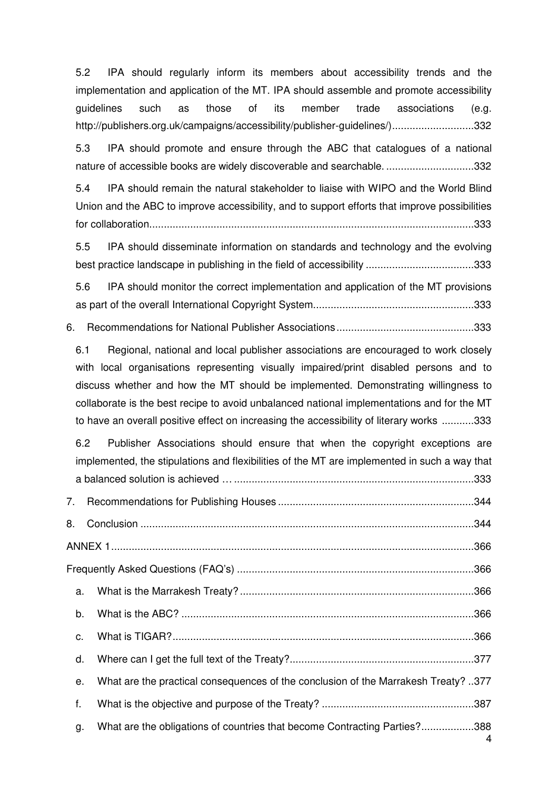5.2 IPA should regularly inform its members about accessibility trends and the implementation and application of the MT. IPA should assemble and promote accessibility guidelines such as those of its member trade associations (e.g. http://publishers.org.uk/campaigns/accessibility/publisher-guidelines/) ............................ 332

5.3 IPA should promote and ensure through the ABC that catalogues of a national nature of accessible books are widely discoverable and searchable. .............................. 332

5.4 IPA should remain the natural stakeholder to liaise with WIPO and the World Blind Union and the ABC to improve accessibility, and to support efforts that improve possibilities for collaboration. .............................................................................................................. 333

5.5 IPA should disseminate information on standards and technology and the evolving best practice landscape in publishing in the field of accessibility ..................................... 333

5.6 IPA should monitor the correct implementation and application of the MT provisions as part of the overall International Copyright System....................................................... 333

6. Recommendations for National Publisher Associations ............................................... 333

6.1 Regional, national and local publisher associations are encouraged to work closely with local organisations representing visually impaired/print disabled persons and to discuss whether and how the MT should be implemented. Demonstrating willingness to collaborate is the best recipe to avoid unbalanced national implementations and for the MT to have an overall positive effect on increasing the accessibility of literary works ........... 333

6.2 Publisher Associations should ensure that when the copyright exceptions are implemented, the stipulations and flexibilities of the MT are implemented in such a way that a balanced solution is achieved … .................................................................................. 333

| 7. |                                                                                    |  |  |  |
|----|------------------------------------------------------------------------------------|--|--|--|
| 8. |                                                                                    |  |  |  |
|    |                                                                                    |  |  |  |
|    |                                                                                    |  |  |  |
| a. |                                                                                    |  |  |  |
| b. |                                                                                    |  |  |  |
| C. |                                                                                    |  |  |  |
| d. |                                                                                    |  |  |  |
| е. | What are the practical consequences of the conclusion of the Marrakesh Treaty? 377 |  |  |  |
| f. |                                                                                    |  |  |  |
| g. | What are the obligations of countries that become Contracting Parties?388<br>4     |  |  |  |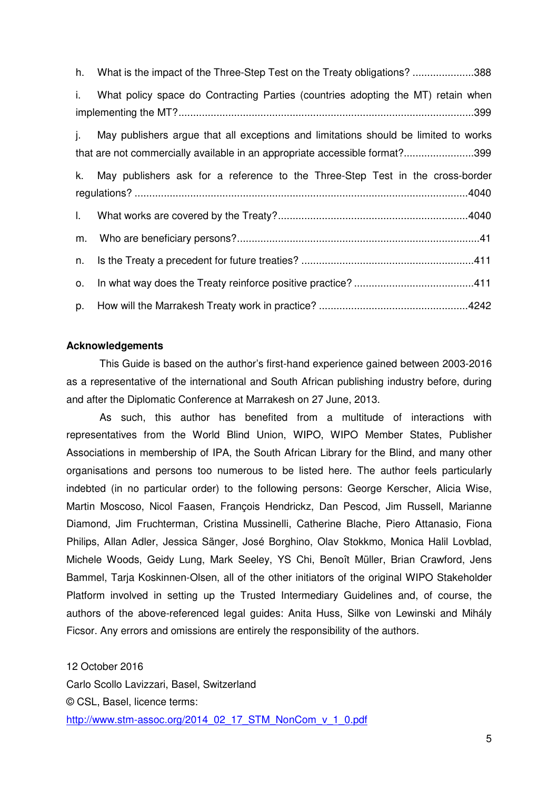| h. | What is the impact of the Three-Step Test on the Treaty obligations? 388                                                                                           |
|----|--------------------------------------------------------------------------------------------------------------------------------------------------------------------|
| i. | What policy space do Contracting Parties (countries adopting the MT) retain when                                                                                   |
| İ. | May publishers argue that all exceptions and limitations should be limited to works<br>that are not commercially available in an appropriate accessible format?399 |
|    | k. May publishers ask for a reference to the Three-Step Test in the cross-border                                                                                   |
| L. |                                                                                                                                                                    |
| m. |                                                                                                                                                                    |
| n. |                                                                                                                                                                    |
| 0. |                                                                                                                                                                    |
| p. |                                                                                                                                                                    |

#### **Acknowledgements**

This Guide is based on the author's first-hand experience gained between 2003-2016 as a representative of the international and South African publishing industry before, during and after the Diplomatic Conference at Marrakesh on 27 June, 2013.

As such, this author has benefited from a multitude of interactions with representatives from the World Blind Union, WIPO, WIPO Member States, Publisher Associations in membership of IPA, the South African Library for the Blind, and many other organisations and persons too numerous to be listed here. The author feels particularly indebted (in no particular order) to the following persons: George Kerscher, Alicia Wise, Martin Moscoso, Nicol Faasen, François Hendrickz, Dan Pescod, Jim Russell, Marianne Diamond, Jim Fruchterman, Cristina Mussinelli, Catherine Blache, Piero Attanasio, Fiona Philips, Allan Adler, Jessica Sänger, José Borghino, Olav Stokkmo, Monica Halil Lovblad, Michele Woods, Geidy Lung, Mark Seeley, YS Chi, Benoît Müller, Brian Crawford, Jens Bammel, Tarja Koskinnen-Olsen, all of the other initiators of the original WIPO Stakeholder Platform involved in setting up the Trusted Intermediary Guidelines and, of course, the authors of the above-referenced legal guides: Anita Huss, Silke von Lewinski and Mihály Ficsor. Any errors and omissions are entirely the responsibility of the authors.

12 October 2016 Carlo Scollo Lavizzari, Basel, Switzerland © CSL, Basel, licence terms: http://www.stm-assoc.org/2014\_02\_17\_STM\_NonCom\_v\_1\_0.pdf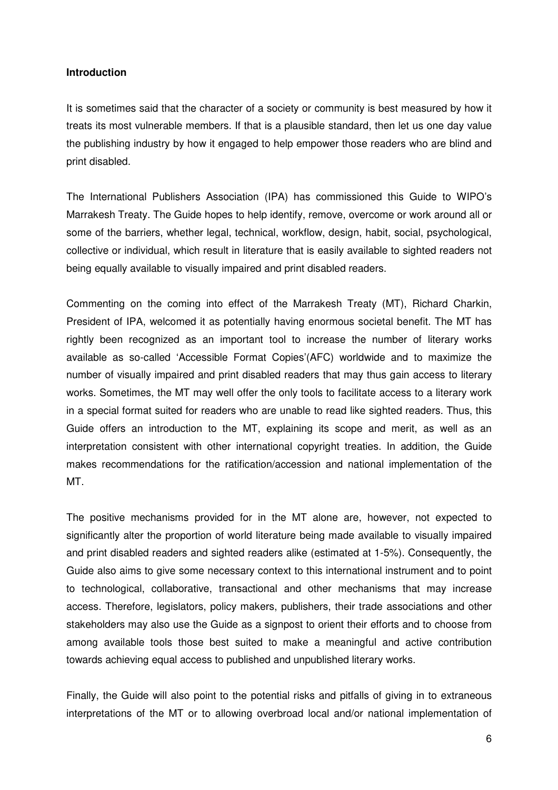#### **Introduction**

It is sometimes said that the character of a society or community is best measured by how it treats its most vulnerable members. If that is a plausible standard, then let us one day value the publishing industry by how it engaged to help empower those readers who are blind and print disabled.

The International Publishers Association (IPA) has commissioned this Guide to WIPO's Marrakesh Treaty. The Guide hopes to help identify, remove, overcome or work around all or some of the barriers, whether legal, technical, workflow, design, habit, social, psychological, collective or individual, which result in literature that is easily available to sighted readers not being equally available to visually impaired and print disabled readers.

Commenting on the coming into effect of the Marrakesh Treaty (MT), Richard Charkin, President of IPA, welcomed it as potentially having enormous societal benefit. The MT has rightly been recognized as an important tool to increase the number of literary works available as so-called 'Accessible Format Copies'(AFC) worldwide and to maximize the number of visually impaired and print disabled readers that may thus gain access to literary works. Sometimes, the MT may well offer the only tools to facilitate access to a literary work in a special format suited for readers who are unable to read like sighted readers. Thus, this Guide offers an introduction to the MT, explaining its scope and merit, as well as an interpretation consistent with other international copyright treaties. In addition, the Guide makes recommendations for the ratification/accession and national implementation of the MT.

The positive mechanisms provided for in the MT alone are, however, not expected to significantly alter the proportion of world literature being made available to visually impaired and print disabled readers and sighted readers alike (estimated at 1-5%). Consequently, the Guide also aims to give some necessary context to this international instrument and to point to technological, collaborative, transactional and other mechanisms that may increase access. Therefore, legislators, policy makers, publishers, their trade associations and other stakeholders may also use the Guide as a signpost to orient their efforts and to choose from among available tools those best suited to make a meaningful and active contribution towards achieving equal access to published and unpublished literary works.

Finally, the Guide will also point to the potential risks and pitfalls of giving in to extraneous interpretations of the MT or to allowing overbroad local and/or national implementation of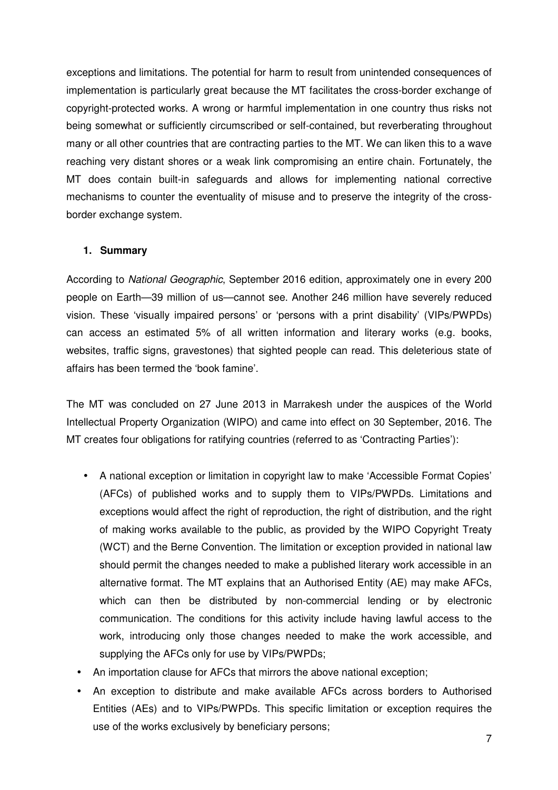exceptions and limitations. The potential for harm to result from unintended consequences of implementation is particularly great because the MT facilitates the cross-border exchange of copyright-protected works. A wrong or harmful implementation in one country thus risks not being somewhat or sufficiently circumscribed or self-contained, but reverberating throughout many or all other countries that are contracting parties to the MT. We can liken this to a wave reaching very distant shores or a weak link compromising an entire chain. Fortunately, the MT does contain built-in safeguards and allows for implementing national corrective mechanisms to counter the eventuality of misuse and to preserve the integrity of the crossborder exchange system.

### **1. Summary**

According to *National Geographic*, September 2016 edition, approximately one in every 200 people on Earth—39 million of us—cannot see. Another 246 million have severely reduced vision. These 'visually impaired persons' or 'persons with a print disability' (VIPs/PWPDs) can access an estimated 5% of all written information and literary works (e.g. books, websites, traffic signs, gravestones) that sighted people can read. This deleterious state of affairs has been termed the 'book famine'.

The MT was concluded on 27 June 2013 in Marrakesh under the auspices of the World Intellectual Property Organization (WIPO) and came into effect on 30 September, 2016. The MT creates four obligations for ratifying countries (referred to as 'Contracting Parties'):

- A national exception or limitation in copyright law to make 'Accessible Format Copies' (AFCs) of published works and to supply them to VIPs/PWPDs. Limitations and exceptions would affect the right of reproduction, the right of distribution, and the right of making works available to the public, as provided by the WIPO Copyright Treaty (WCT) and the Berne Convention. The limitation or exception provided in national law should permit the changes needed to make a published literary work accessible in an alternative format. The MT explains that an Authorised Entity (AE) may make AFCs, which can then be distributed by non-commercial lending or by electronic communication. The conditions for this activity include having lawful access to the work, introducing only those changes needed to make the work accessible, and supplying the AFCs only for use by VIPs/PWPDs;
- An importation clause for AFCs that mirrors the above national exception;
- An exception to distribute and make available AFCs across borders to Authorised Entities (AEs) and to VIPs/PWPDs. This specific limitation or exception requires the use of the works exclusively by beneficiary persons;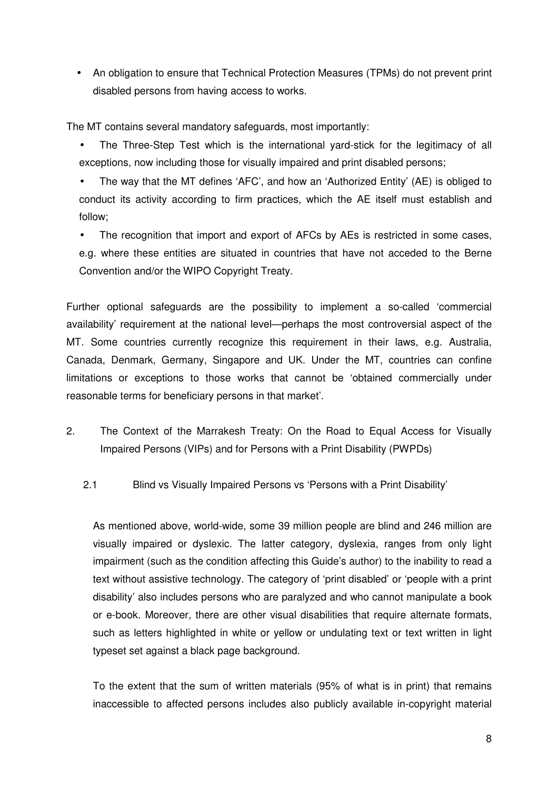• An obligation to ensure that Technical Protection Measures (TPMs) do not prevent print disabled persons from having access to works.

The MT contains several mandatory safeguards, most importantly:

- The Three-Step Test which is the international yard-stick for the legitimacy of all exceptions, now including those for visually impaired and print disabled persons;
- The way that the MT defines 'AFC', and how an 'Authorized Entity' (AE) is obliged to conduct its activity according to firm practices, which the AE itself must establish and follow;

The recognition that import and export of AFCs by AEs is restricted in some cases, e.g. where these entities are situated in countries that have not acceded to the Berne Convention and/or the WIPO Copyright Treaty.

Further optional safeguards are the possibility to implement a so-called 'commercial availability' requirement at the national level—perhaps the most controversial aspect of the MT. Some countries currently recognize this requirement in their laws, e.g. Australia, Canada, Denmark, Germany, Singapore and UK. Under the MT, countries can confine limitations or exceptions to those works that cannot be 'obtained commercially under reasonable terms for beneficiary persons in that market'.

- 2. The Context of the Marrakesh Treaty: On the Road to Equal Access for Visually Impaired Persons (VIPs) and for Persons with a Print Disability (PWPDs)
	- 2.1 Blind vs Visually Impaired Persons vs 'Persons with a Print Disability'

As mentioned above, world-wide, some 39 million people are blind and 246 million are visually impaired or dyslexic. The latter category, dyslexia, ranges from only light impairment (such as the condition affecting this Guide's author) to the inability to read a text without assistive technology. The category of 'print disabled' or 'people with a print disability' also includes persons who are paralyzed and who cannot manipulate a book or e-book. Moreover, there are other visual disabilities that require alternate formats, such as letters highlighted in white or yellow or undulating text or text written in light typeset set against a black page background.

To the extent that the sum of written materials (95% of what is in print) that remains inaccessible to affected persons includes also publicly available in-copyright material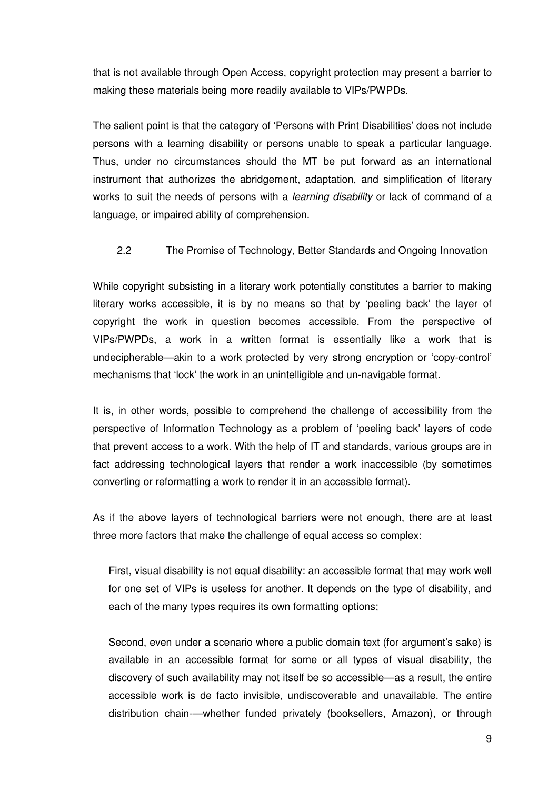that is not available through Open Access, copyright protection may present a barrier to making these materials being more readily available to VIPs/PWPDs.

The salient point is that the category of 'Persons with Print Disabilities' does not include persons with a learning disability or persons unable to speak a particular language. Thus, under no circumstances should the MT be put forward as an international instrument that authorizes the abridgement, adaptation, and simplification of literary works to suit the needs of persons with a *learning disability* or lack of command of a language, or impaired ability of comprehension.

### 2.2 The Promise of Technology, Better Standards and Ongoing Innovation

While copyright subsisting in a literary work potentially constitutes a barrier to making literary works accessible, it is by no means so that by 'peeling back' the layer of copyright the work in question becomes accessible. From the perspective of VIPs/PWPDs, a work in a written format is essentially like a work that is undecipherable—akin to a work protected by very strong encryption or 'copy-control' mechanisms that 'lock' the work in an unintelligible and un-navigable format.

It is, in other words, possible to comprehend the challenge of accessibility from the perspective of Information Technology as a problem of 'peeling back' layers of code that prevent access to a work. With the help of IT and standards, various groups are in fact addressing technological layers that render a work inaccessible (by sometimes converting or reformatting a work to render it in an accessible format).

As if the above layers of technological barriers were not enough, there are at least three more factors that make the challenge of equal access so complex:

First, visual disability is not equal disability: an accessible format that may work well for one set of VIPs is useless for another. It depends on the type of disability, and each of the many types requires its own formatting options;

Second, even under a scenario where a public domain text (for argument's sake) is available in an accessible format for some or all types of visual disability, the discovery of such availability may not itself be so accessible—as a result, the entire accessible work is de facto invisible, undiscoverable and unavailable. The entire distribution chain-—whether funded privately (booksellers, Amazon), or through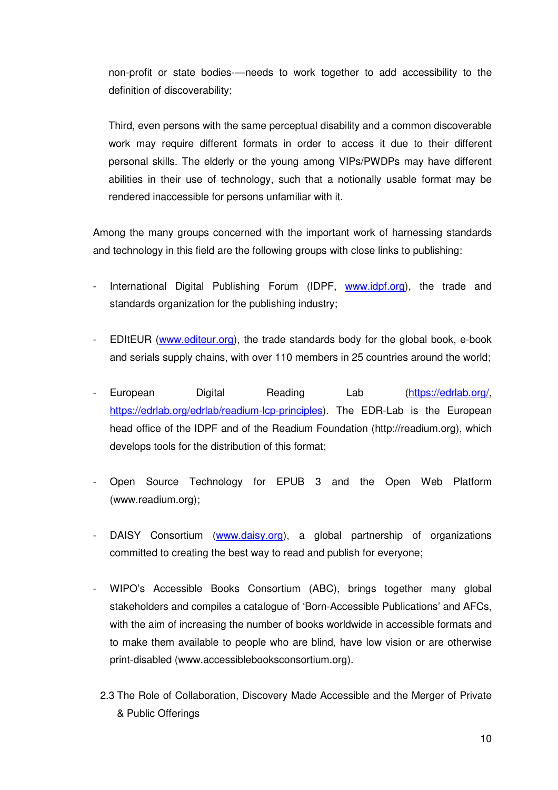non-profit or state bodies-—needs to work together to add accessibility to the definition of discoverability;

Third, even persons with the same perceptual disability and a common discoverable work may require different formats in order to access it due to their different personal skills. The elderly or the young among VIPs/PWDPs may have different abilities in their use of technology, such that a notionally usable format may be rendered inaccessible for persons unfamiliar with it.

Among the many groups concerned with the important work of harnessing standards and technology in this field are the following groups with close links to publishing:

- International Digital Publishing Forum (IDPF, www.idpf.org), the trade and standards organization for the publishing industry;
- EDItEUR (www.editeur.org), the trade standards body for the global book, e-book and serials supply chains, with over 110 members in 25 countries around the world;
- European Digital Reading Lab (https://edrlab.org/, https://edrlab.org/edrlab/readium-lcp-principles). The EDR-Lab is the European head office of the IDPF and of the Readium Foundation (http://readium.org), which develops tools for the distribution of this format;
- Open Source Technology for EPUB 3 and the Open Web Platform (www.readium.org);
- DAISY Consortium (www.daisy.org), a global partnership of organizations committed to creating the best way to read and publish for everyone;
- WIPO's Accessible Books Consortium (ABC), brings together many global stakeholders and compiles a catalogue of 'Born-Accessible Publications' and AFCs, with the aim of increasing the number of books worldwide in accessible formats and to make them available to people who are blind, have low vision or are otherwise print-disabled (www.accessiblebooksconsortium.org).
- 2.3 The Role of Collaboration, Discovery Made Accessible and the Merger of Private & Public Offerings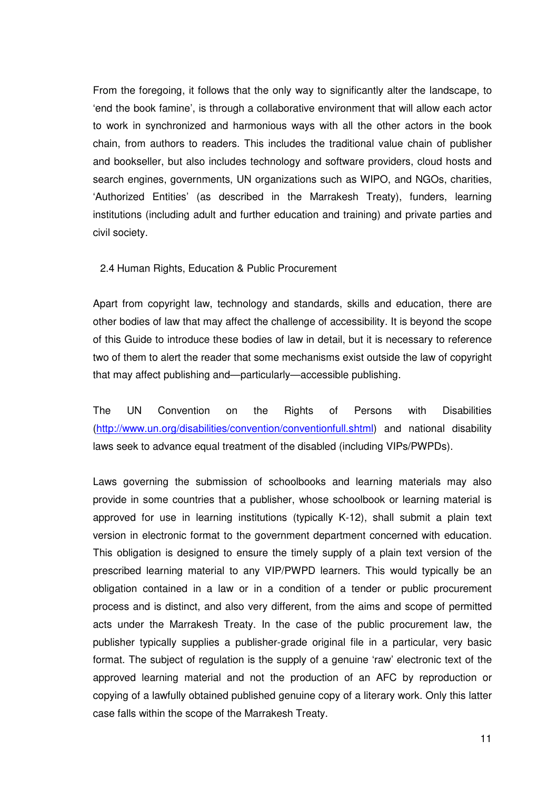From the foregoing, it follows that the only way to significantly alter the landscape, to 'end the book famine', is through a collaborative environment that will allow each actor to work in synchronized and harmonious ways with all the other actors in the book chain, from authors to readers. This includes the traditional value chain of publisher and bookseller, but also includes technology and software providers, cloud hosts and search engines, governments, UN organizations such as WIPO, and NGOs, charities, 'Authorized Entities' (as described in the Marrakesh Treaty), funders, learning institutions (including adult and further education and training) and private parties and civil society.

2.4 Human Rights, Education & Public Procurement

Apart from copyright law, technology and standards, skills and education, there are other bodies of law that may affect the challenge of accessibility. It is beyond the scope of this Guide to introduce these bodies of law in detail, but it is necessary to reference two of them to alert the reader that some mechanisms exist outside the law of copyright that may affect publishing and—particularly—accessible publishing.

The UN Convention on the Rights of Persons with Disabilities (http://www.un.org/disabilities/convention/conventionfull.shtml) and national disability laws seek to advance equal treatment of the disabled (including VIPs/PWPDs).

Laws governing the submission of schoolbooks and learning materials may also provide in some countries that a publisher, whose schoolbook or learning material is approved for use in learning institutions (typically K-12), shall submit a plain text version in electronic format to the government department concerned with education. This obligation is designed to ensure the timely supply of a plain text version of the prescribed learning material to any VIP/PWPD learners. This would typically be an obligation contained in a law or in a condition of a tender or public procurement process and is distinct, and also very different, from the aims and scope of permitted acts under the Marrakesh Treaty. In the case of the public procurement law, the publisher typically supplies a publisher-grade original file in a particular, very basic format. The subject of regulation is the supply of a genuine 'raw' electronic text of the approved learning material and not the production of an AFC by reproduction or copying of a lawfully obtained published genuine copy of a literary work. Only this latter case falls within the scope of the Marrakesh Treaty.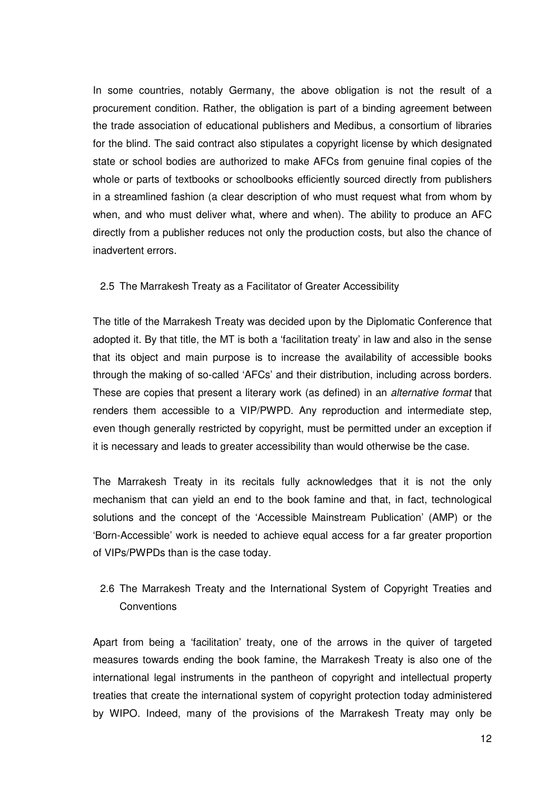In some countries, notably Germany, the above obligation is not the result of a procurement condition. Rather, the obligation is part of a binding agreement between the trade association of educational publishers and Medibus, a consortium of libraries for the blind. The said contract also stipulates a copyright license by which designated state or school bodies are authorized to make AFCs from genuine final copies of the whole or parts of textbooks or schoolbooks efficiently sourced directly from publishers in a streamlined fashion (a clear description of who must request what from whom by when, and who must deliver what, where and when). The ability to produce an AFC directly from a publisher reduces not only the production costs, but also the chance of inadvertent errors.

#### 2.5 The Marrakesh Treaty as a Facilitator of Greater Accessibility

The title of the Marrakesh Treaty was decided upon by the Diplomatic Conference that adopted it. By that title, the MT is both a 'facilitation treaty' in law and also in the sense that its object and main purpose is to increase the availability of accessible books through the making of so-called 'AFCs' and their distribution, including across borders. These are copies that present a literary work (as defined) in an *alternative format* that renders them accessible to a VIP/PWPD. Any reproduction and intermediate step, even though generally restricted by copyright, must be permitted under an exception if it is necessary and leads to greater accessibility than would otherwise be the case.

The Marrakesh Treaty in its recitals fully acknowledges that it is not the only mechanism that can yield an end to the book famine and that, in fact, technological solutions and the concept of the 'Accessible Mainstream Publication' (AMP) or the 'Born-Accessible' work is needed to achieve equal access for a far greater proportion of VIPs/PWPDs than is the case today.

# 2.6 The Marrakesh Treaty and the International System of Copyright Treaties and **Conventions**

Apart from being a 'facilitation' treaty, one of the arrows in the quiver of targeted measures towards ending the book famine, the Marrakesh Treaty is also one of the international legal instruments in the pantheon of copyright and intellectual property treaties that create the international system of copyright protection today administered by WIPO. Indeed, many of the provisions of the Marrakesh Treaty may only be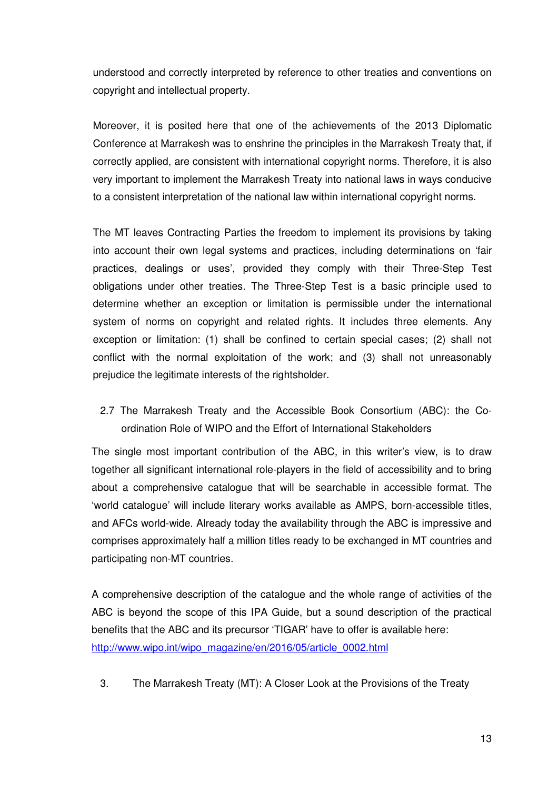understood and correctly interpreted by reference to other treaties and conventions on copyright and intellectual property.

Moreover, it is posited here that one of the achievements of the 2013 Diplomatic Conference at Marrakesh was to enshrine the principles in the Marrakesh Treaty that, if correctly applied, are consistent with international copyright norms. Therefore, it is also very important to implement the Marrakesh Treaty into national laws in ways conducive to a consistent interpretation of the national law within international copyright norms.

The MT leaves Contracting Parties the freedom to implement its provisions by taking into account their own legal systems and practices, including determinations on 'fair practices, dealings or uses', provided they comply with their Three-Step Test obligations under other treaties. The Three-Step Test is a basic principle used to determine whether an exception or limitation is permissible under the international system of norms on copyright and related rights. It includes three elements. Any exception or limitation: (1) shall be confined to certain special cases; (2) shall not conflict with the normal exploitation of the work; and (3) shall not unreasonably prejudice the legitimate interests of the rightsholder.

2.7 The Marrakesh Treaty and the Accessible Book Consortium (ABC): the Coordination Role of WIPO and the Effort of International Stakeholders

The single most important contribution of the ABC, in this writer's view, is to draw together all significant international role-players in the field of accessibility and to bring about a comprehensive catalogue that will be searchable in accessible format. The 'world catalogue' will include literary works available as AMPS, born-accessible titles, and AFCs world-wide. Already today the availability through the ABC is impressive and comprises approximately half a million titles ready to be exchanged in MT countries and participating non-MT countries.

A comprehensive description of the catalogue and the whole range of activities of the ABC is beyond the scope of this IPA Guide, but a sound description of the practical benefits that the ABC and its precursor 'TIGAR' have to offer is available here: http://www.wipo.int/wipo\_magazine/en/2016/05/article\_0002.html

3. The Marrakesh Treaty (MT): A Closer Look at the Provisions of the Treaty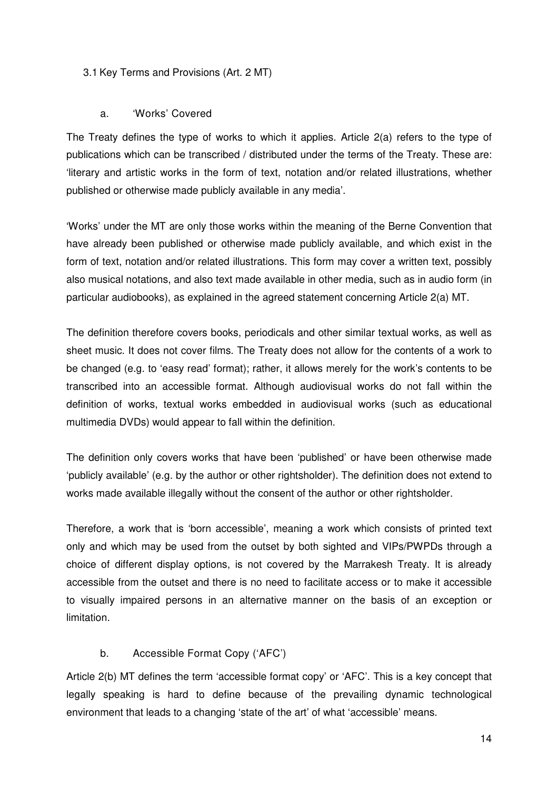#### 3.1 Key Terms and Provisions (Art. 2 MT)

#### a. 'Works' Covered

The Treaty defines the type of works to which it applies. Article 2(a) refers to the type of publications which can be transcribed / distributed under the terms of the Treaty. These are: 'literary and artistic works in the form of text, notation and/or related illustrations, whether published or otherwise made publicly available in any media'.

'Works' under the MT are only those works within the meaning of the Berne Convention that have already been published or otherwise made publicly available, and which exist in the form of text, notation and/or related illustrations. This form may cover a written text, possibly also musical notations, and also text made available in other media, such as in audio form (in particular audiobooks), as explained in the agreed statement concerning Article 2(a) MT.

The definition therefore covers books, periodicals and other similar textual works, as well as sheet music. It does not cover films. The Treaty does not allow for the contents of a work to be changed (e.g. to 'easy read' format); rather, it allows merely for the work's contents to be transcribed into an accessible format. Although audiovisual works do not fall within the definition of works, textual works embedded in audiovisual works (such as educational multimedia DVDs) would appear to fall within the definition.

The definition only covers works that have been 'published' or have been otherwise made 'publicly available' (e.g. by the author or other rightsholder). The definition does not extend to works made available illegally without the consent of the author or other rightsholder.

Therefore, a work that is 'born accessible', meaning a work which consists of printed text only and which may be used from the outset by both sighted and VIPs/PWPDs through a choice of different display options, is not covered by the Marrakesh Treaty. It is already accessible from the outset and there is no need to facilitate access or to make it accessible to visually impaired persons in an alternative manner on the basis of an exception or limitation.

### b. Accessible Format Copy ('AFC')

Article 2(b) MT defines the term 'accessible format copy' or 'AFC'. This is a key concept that legally speaking is hard to define because of the prevailing dynamic technological environment that leads to a changing 'state of the art' of what 'accessible' means.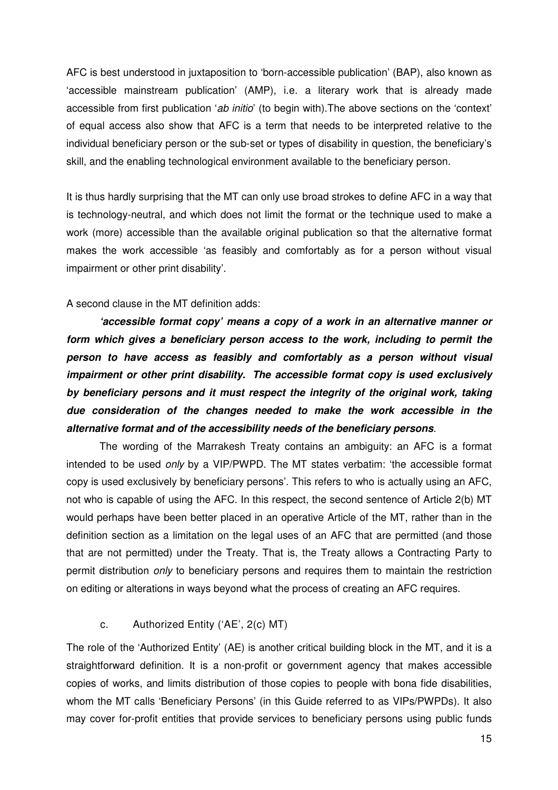AFC is best understood in juxtaposition to 'born-accessible publication' (BAP), also known as 'accessible mainstream publication' (AMP), i.e. a literary work that is already made accessible from first publication '*ab initio*' (to begin with).The above sections on the 'context' of equal access also show that AFC is a term that needs to be interpreted relative to the individual beneficiary person or the sub-set or types of disability in question, the beneficiary's skill, and the enabling technological environment available to the beneficiary person.

It is thus hardly surprising that the MT can only use broad strokes to define AFC in a way that is technology-neutral, and which does not limit the format or the technique used to make a work (more) accessible than the available original publication so that the alternative format makes the work accessible 'as feasibly and comfortably as for a person without visual impairment or other print disability'.

#### A second clause in the MT definition adds:

**'accessible format copy' means a copy of a work in an alternative manner or form which gives a beneficiary person access to the work, including to permit the person to have access as feasibly and comfortably as a person without visual impairment or other print disability. The accessible format copy is used exclusively by beneficiary persons and it must respect the integrity of the original work, taking due consideration of the changes needed to make the work accessible in the alternative format and of the accessibility needs of the beneficiary persons**.

The wording of the Marrakesh Treaty contains an ambiguity: an AFC is a format intended to be used *only* by a VIP/PWPD. The MT states verbatim: 'the accessible format copy is used exclusively by beneficiary persons'. This refers to who is actually using an AFC, not who is capable of using the AFC. In this respect, the second sentence of Article 2(b) MT would perhaps have been better placed in an operative Article of the MT, rather than in the definition section as a limitation on the legal uses of an AFC that are permitted (and those that are not permitted) under the Treaty. That is, the Treaty allows a Contracting Party to permit distribution *only* to beneficiary persons and requires them to maintain the restriction on editing or alterations in ways beyond what the process of creating an AFC requires.

### c. Authorized Entity ('AE', 2(c) MT)

The role of the 'Authorized Entity' (AE) is another critical building block in the MT, and it is a straightforward definition. It is a non-profit or government agency that makes accessible copies of works, and limits distribution of those copies to people with bona fide disabilities, whom the MT calls 'Beneficiary Persons' (in this Guide referred to as VIPs/PWPDs). It also may cover for-profit entities that provide services to beneficiary persons using public funds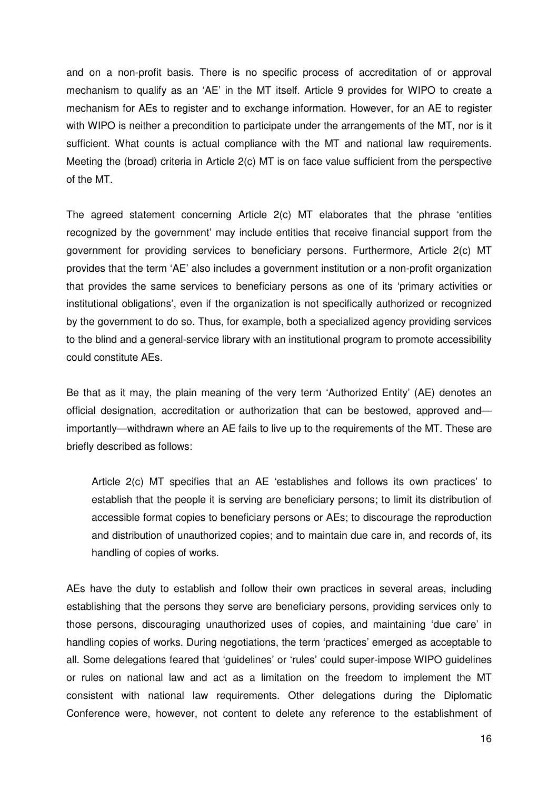and on a non-profit basis. There is no specific process of accreditation of or approval mechanism to qualify as an 'AE' in the MT itself. Article 9 provides for WIPO to create a mechanism for AEs to register and to exchange information. However, for an AE to register with WIPO is neither a precondition to participate under the arrangements of the MT, nor is it sufficient. What counts is actual compliance with the MT and national law requirements. Meeting the (broad) criteria in Article 2(c) MT is on face value sufficient from the perspective of the MT.

The agreed statement concerning Article 2(c) MT elaborates that the phrase 'entities recognized by the government' may include entities that receive financial support from the government for providing services to beneficiary persons. Furthermore, Article 2(c) MT provides that the term 'AE' also includes a government institution or a non-profit organization that provides the same services to beneficiary persons as one of its 'primary activities or institutional obligations', even if the organization is not specifically authorized or recognized by the government to do so. Thus, for example, both a specialized agency providing services to the blind and a general-service library with an institutional program to promote accessibility could constitute AEs.

Be that as it may, the plain meaning of the very term 'Authorized Entity' (AE) denotes an official designation, accreditation or authorization that can be bestowed, approved and importantly—withdrawn where an AE fails to live up to the requirements of the MT. These are briefly described as follows:

Article 2(c) MT specifies that an AE 'establishes and follows its own practices' to establish that the people it is serving are beneficiary persons; to limit its distribution of accessible format copies to beneficiary persons or AEs; to discourage the reproduction and distribution of unauthorized copies; and to maintain due care in, and records of, its handling of copies of works.

AEs have the duty to establish and follow their own practices in several areas, including establishing that the persons they serve are beneficiary persons, providing services only to those persons, discouraging unauthorized uses of copies, and maintaining 'due care' in handling copies of works. During negotiations, the term 'practices' emerged as acceptable to all. Some delegations feared that 'guidelines' or 'rules' could super-impose WIPO guidelines or rules on national law and act as a limitation on the freedom to implement the MT consistent with national law requirements. Other delegations during the Diplomatic Conference were, however, not content to delete any reference to the establishment of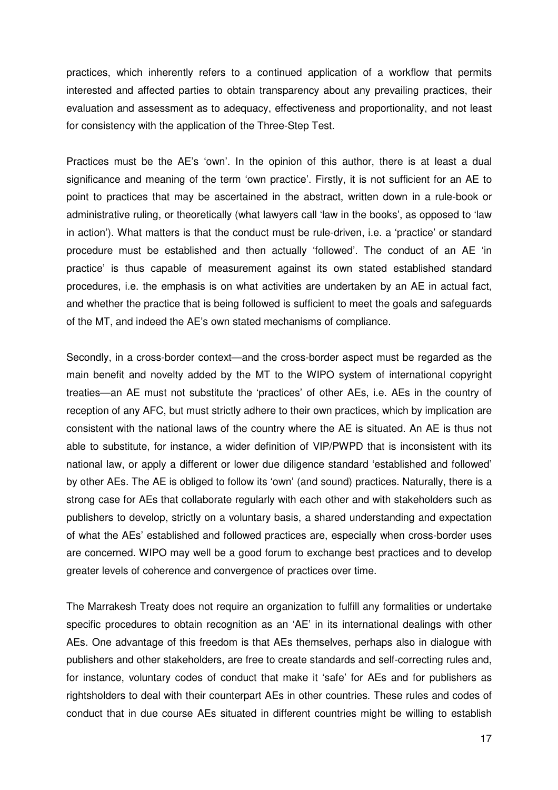practices, which inherently refers to a continued application of a workflow that permits interested and affected parties to obtain transparency about any prevailing practices, their evaluation and assessment as to adequacy, effectiveness and proportionality, and not least for consistency with the application of the Three-Step Test.

Practices must be the AE's 'own'. In the opinion of this author, there is at least a dual significance and meaning of the term 'own practice'. Firstly, it is not sufficient for an AE to point to practices that may be ascertained in the abstract, written down in a rule-book or administrative ruling, or theoretically (what lawyers call 'law in the books', as opposed to 'law in action'). What matters is that the conduct must be rule-driven, i.e. a 'practice' or standard procedure must be established and then actually 'followed'. The conduct of an AE 'in practice' is thus capable of measurement against its own stated established standard procedures, i.e. the emphasis is on what activities are undertaken by an AE in actual fact, and whether the practice that is being followed is sufficient to meet the goals and safeguards of the MT, and indeed the AE's own stated mechanisms of compliance.

Secondly, in a cross-border context—and the cross-border aspect must be regarded as the main benefit and novelty added by the MT to the WIPO system of international copyright treaties—an AE must not substitute the 'practices' of other AEs, i.e. AEs in the country of reception of any AFC, but must strictly adhere to their own practices, which by implication are consistent with the national laws of the country where the AE is situated. An AE is thus not able to substitute, for instance, a wider definition of VIP/PWPD that is inconsistent with its national law, or apply a different or lower due diligence standard 'established and followed' by other AEs. The AE is obliged to follow its 'own' (and sound) practices. Naturally, there is a strong case for AEs that collaborate regularly with each other and with stakeholders such as publishers to develop, strictly on a voluntary basis, a shared understanding and expectation of what the AEs' established and followed practices are, especially when cross-border uses are concerned. WIPO may well be a good forum to exchange best practices and to develop greater levels of coherence and convergence of practices over time.

The Marrakesh Treaty does not require an organization to fulfill any formalities or undertake specific procedures to obtain recognition as an 'AE' in its international dealings with other AEs. One advantage of this freedom is that AEs themselves, perhaps also in dialogue with publishers and other stakeholders, are free to create standards and self-correcting rules and, for instance, voluntary codes of conduct that make it 'safe' for AEs and for publishers as rightsholders to deal with their counterpart AEs in other countries. These rules and codes of conduct that in due course AEs situated in different countries might be willing to establish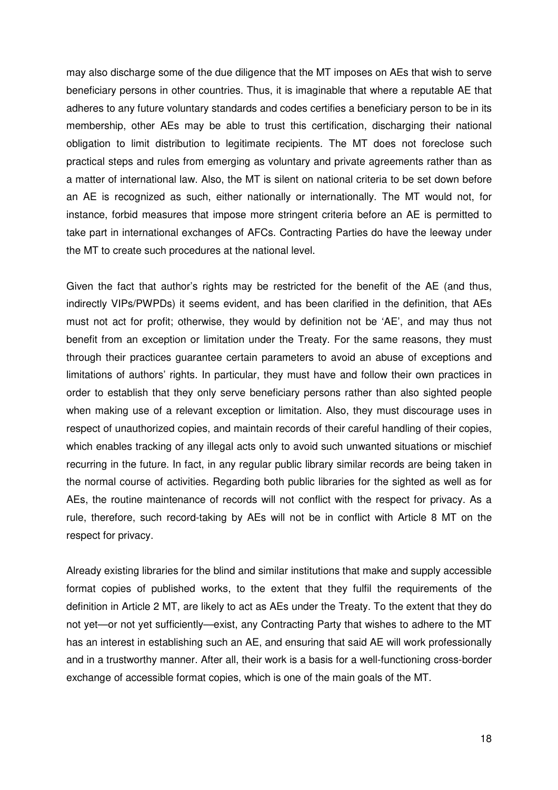may also discharge some of the due diligence that the MT imposes on AEs that wish to serve beneficiary persons in other countries. Thus, it is imaginable that where a reputable AE that adheres to any future voluntary standards and codes certifies a beneficiary person to be in its membership, other AEs may be able to trust this certification, discharging their national obligation to limit distribution to legitimate recipients. The MT does not foreclose such practical steps and rules from emerging as voluntary and private agreements rather than as a matter of international law. Also, the MT is silent on national criteria to be set down before an AE is recognized as such, either nationally or internationally. The MT would not, for instance, forbid measures that impose more stringent criteria before an AE is permitted to take part in international exchanges of AFCs. Contracting Parties do have the leeway under the MT to create such procedures at the national level.

Given the fact that author's rights may be restricted for the benefit of the AE (and thus, indirectly VIPs/PWPDs) it seems evident, and has been clarified in the definition, that AEs must not act for profit; otherwise, they would by definition not be 'AE', and may thus not benefit from an exception or limitation under the Treaty. For the same reasons, they must through their practices guarantee certain parameters to avoid an abuse of exceptions and limitations of authors' rights. In particular, they must have and follow their own practices in order to establish that they only serve beneficiary persons rather than also sighted people when making use of a relevant exception or limitation. Also, they must discourage uses in respect of unauthorized copies, and maintain records of their careful handling of their copies, which enables tracking of any illegal acts only to avoid such unwanted situations or mischief recurring in the future. In fact, in any regular public library similar records are being taken in the normal course of activities. Regarding both public libraries for the sighted as well as for AEs, the routine maintenance of records will not conflict with the respect for privacy. As a rule, therefore, such record-taking by AEs will not be in conflict with Article 8 MT on the respect for privacy.

Already existing libraries for the blind and similar institutions that make and supply accessible format copies of published works, to the extent that they fulfil the requirements of the definition in Article 2 MT, are likely to act as AEs under the Treaty. To the extent that they do not yet—or not yet sufficiently—exist, any Contracting Party that wishes to adhere to the MT has an interest in establishing such an AE, and ensuring that said AE will work professionally and in a trustworthy manner. After all, their work is a basis for a well-functioning cross-border exchange of accessible format copies, which is one of the main goals of the MT.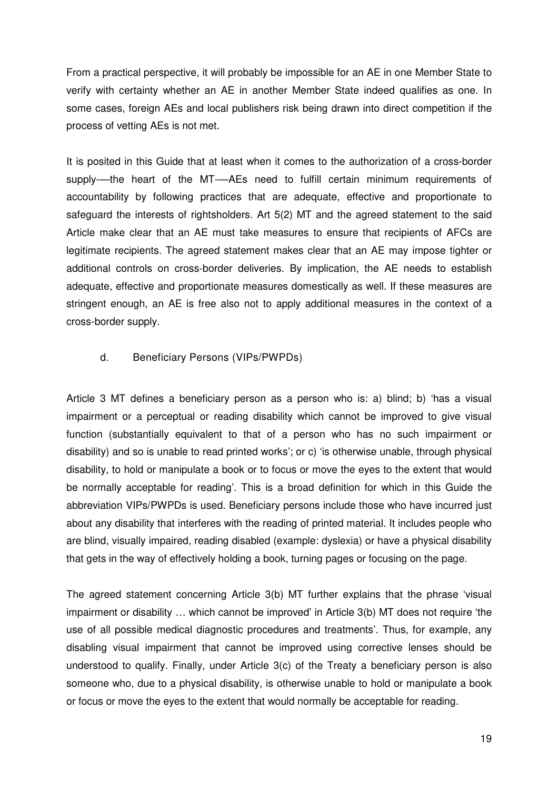From a practical perspective, it will probably be impossible for an AE in one Member State to verify with certainty whether an AE in another Member State indeed qualifies as one. In some cases, foreign AEs and local publishers risk being drawn into direct competition if the process of vetting AEs is not met.

It is posited in this Guide that at least when it comes to the authorization of a cross-border supply-—the heart of the MT-—AEs need to fulfill certain minimum requirements of accountability by following practices that are adequate, effective and proportionate to safeguard the interests of rightsholders. Art 5(2) MT and the agreed statement to the said Article make clear that an AE must take measures to ensure that recipients of AFCs are legitimate recipients. The agreed statement makes clear that an AE may impose tighter or additional controls on cross-border deliveries. By implication, the AE needs to establish adequate, effective and proportionate measures domestically as well. If these measures are stringent enough, an AE is free also not to apply additional measures in the context of a cross-border supply.

### d. Beneficiary Persons (VIPs/PWPDs)

Article 3 MT defines a beneficiary person as a person who is: a) blind; b) 'has a visual impairment or a perceptual or reading disability which cannot be improved to give visual function (substantially equivalent to that of a person who has no such impairment or disability) and so is unable to read printed works'; or c) 'is otherwise unable, through physical disability, to hold or manipulate a book or to focus or move the eyes to the extent that would be normally acceptable for reading'. This is a broad definition for which in this Guide the abbreviation VIPs/PWPDs is used. Beneficiary persons include those who have incurred just about any disability that interferes with the reading of printed material. It includes people who are blind, visually impaired, reading disabled (example: dyslexia) or have a physical disability that gets in the way of effectively holding a book, turning pages or focusing on the page.

The agreed statement concerning Article 3(b) MT further explains that the phrase 'visual impairment or disability … which cannot be improved' in Article 3(b) MT does not require 'the use of all possible medical diagnostic procedures and treatments'. Thus, for example, any disabling visual impairment that cannot be improved using corrective lenses should be understood to qualify. Finally, under Article 3(c) of the Treaty a beneficiary person is also someone who, due to a physical disability, is otherwise unable to hold or manipulate a book or focus or move the eyes to the extent that would normally be acceptable for reading.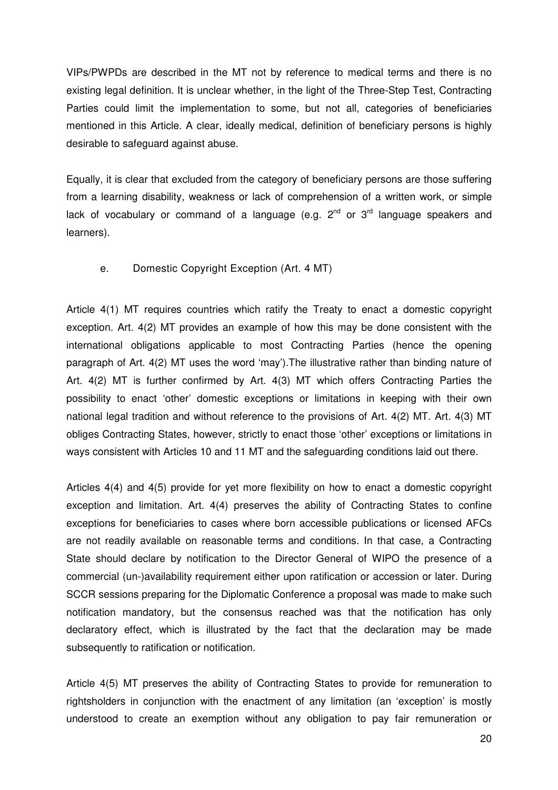VIPs/PWPDs are described in the MT not by reference to medical terms and there is no existing legal definition. It is unclear whether, in the light of the Three-Step Test, Contracting Parties could limit the implementation to some, but not all, categories of beneficiaries mentioned in this Article. A clear, ideally medical, definition of beneficiary persons is highly desirable to safeguard against abuse.

Equally, it is clear that excluded from the category of beneficiary persons are those suffering from a learning disability, weakness or lack of comprehension of a written work, or simple lack of vocabulary or command of a language (e.g.  $2^{nd}$  or  $3^{rd}$  language speakers and learners).

#### e. Domestic Copyright Exception (Art. 4 MT)

Article 4(1) MT requires countries which ratify the Treaty to enact a domestic copyright exception. Art. 4(2) MT provides an example of how this may be done consistent with the international obligations applicable to most Contracting Parties (hence the opening paragraph of Art. 4(2) MT uses the word 'may').The illustrative rather than binding nature of Art. 4(2) MT is further confirmed by Art. 4(3) MT which offers Contracting Parties the possibility to enact 'other' domestic exceptions or limitations in keeping with their own national legal tradition and without reference to the provisions of Art. 4(2) MT. Art. 4(3) MT obliges Contracting States, however, strictly to enact those 'other' exceptions or limitations in ways consistent with Articles 10 and 11 MT and the safeguarding conditions laid out there.

Articles 4(4) and 4(5) provide for yet more flexibility on how to enact a domestic copyright exception and limitation. Art. 4(4) preserves the ability of Contracting States to confine exceptions for beneficiaries to cases where born accessible publications or licensed AFCs are not readily available on reasonable terms and conditions. In that case, a Contracting State should declare by notification to the Director General of WIPO the presence of a commercial (un-)availability requirement either upon ratification or accession or later. During SCCR sessions preparing for the Diplomatic Conference a proposal was made to make such notification mandatory, but the consensus reached was that the notification has only declaratory effect, which is illustrated by the fact that the declaration may be made subsequently to ratification or notification.

Article 4(5) MT preserves the ability of Contracting States to provide for remuneration to rightsholders in conjunction with the enactment of any limitation (an 'exception' is mostly understood to create an exemption without any obligation to pay fair remuneration or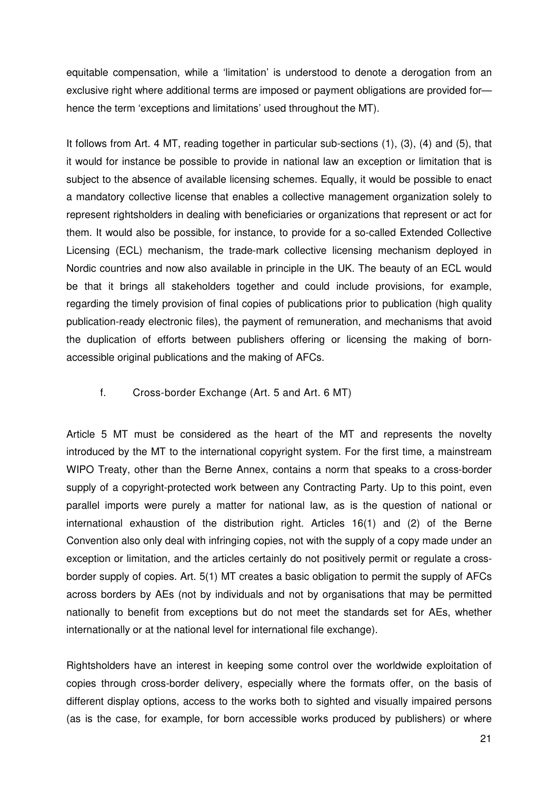equitable compensation, while a 'limitation' is understood to denote a derogation from an exclusive right where additional terms are imposed or payment obligations are provided for hence the term 'exceptions and limitations' used throughout the MT).

It follows from Art. 4 MT, reading together in particular sub-sections (1), (3), (4) and (5), that it would for instance be possible to provide in national law an exception or limitation that is subiect to the absence of available licensing schemes. Equally, it would be possible to enact a mandatory collective license that enables a collective management organization solely to represent rightsholders in dealing with beneficiaries or organizations that represent or act for them. It would also be possible, for instance, to provide for a so-called Extended Collective Licensing (ECL) mechanism, the trade-mark collective licensing mechanism deployed in Nordic countries and now also available in principle in the UK. The beauty of an ECL would be that it brings all stakeholders together and could include provisions, for example, regarding the timely provision of final copies of publications prior to publication (high quality publication-ready electronic files), the payment of remuneration, and mechanisms that avoid the duplication of efforts between publishers offering or licensing the making of bornaccessible original publications and the making of AFCs.

#### f. Cross-border Exchange (Art. 5 and Art. 6 MT)

Article 5 MT must be considered as the heart of the MT and represents the novelty introduced by the MT to the international copyright system. For the first time, a mainstream WIPO Treaty, other than the Berne Annex, contains a norm that speaks to a cross-border supply of a copyright-protected work between any Contracting Party. Up to this point, even parallel imports were purely a matter for national law, as is the question of national or international exhaustion of the distribution right. Articles 16(1) and (2) of the Berne Convention also only deal with infringing copies, not with the supply of a copy made under an exception or limitation, and the articles certainly do not positively permit or regulate a crossborder supply of copies. Art. 5(1) MT creates a basic obligation to permit the supply of AFCs across borders by AEs (not by individuals and not by organisations that may be permitted nationally to benefit from exceptions but do not meet the standards set for AEs, whether internationally or at the national level for international file exchange).

Rightsholders have an interest in keeping some control over the worldwide exploitation of copies through cross-border delivery, especially where the formats offer, on the basis of different display options, access to the works both to sighted and visually impaired persons (as is the case, for example, for born accessible works produced by publishers) or where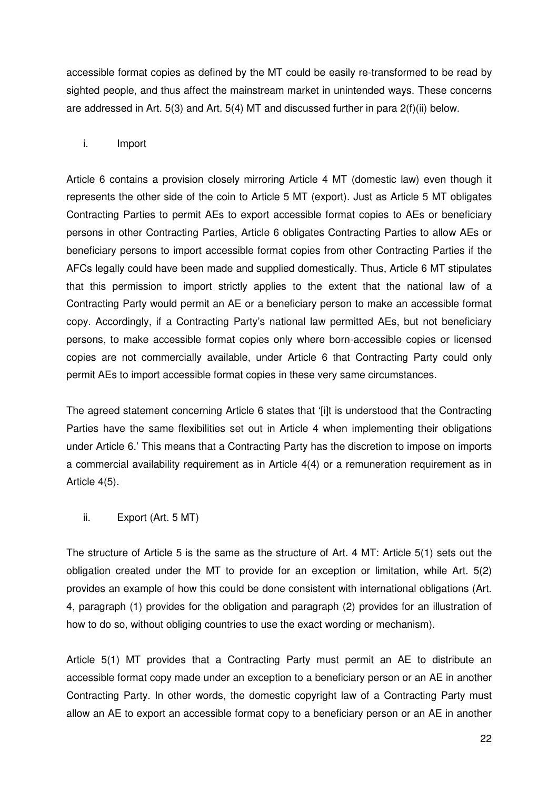accessible format copies as defined by the MT could be easily re-transformed to be read by sighted people, and thus affect the mainstream market in unintended ways. These concerns are addressed in Art. 5(3) and Art. 5(4) MT and discussed further in para 2(f)(ii) below.

### i. Import

Article 6 contains a provision closely mirroring Article 4 MT (domestic law) even though it represents the other side of the coin to Article 5 MT (export). Just as Article 5 MT obligates Contracting Parties to permit AEs to export accessible format copies to AEs or beneficiary persons in other Contracting Parties, Article 6 obligates Contracting Parties to allow AEs or beneficiary persons to import accessible format copies from other Contracting Parties if the AFCs legally could have been made and supplied domestically. Thus, Article 6 MT stipulates that this permission to import strictly applies to the extent that the national law of a Contracting Party would permit an AE or a beneficiary person to make an accessible format copy. Accordingly, if a Contracting Party's national law permitted AEs, but not beneficiary persons, to make accessible format copies only where born-accessible copies or licensed copies are not commercially available, under Article 6 that Contracting Party could only permit AEs to import accessible format copies in these very same circumstances.

The agreed statement concerning Article 6 states that '[i]t is understood that the Contracting Parties have the same flexibilities set out in Article 4 when implementing their obligations under Article 6.' This means that a Contracting Party has the discretion to impose on imports a commercial availability requirement as in Article 4(4) or a remuneration requirement as in Article 4(5).

ii. Export (Art. 5 MT)

The structure of Article 5 is the same as the structure of Art. 4 MT: Article 5(1) sets out the obligation created under the MT to provide for an exception or limitation, while Art. 5(2) provides an example of how this could be done consistent with international obligations (Art. 4, paragraph (1) provides for the obligation and paragraph (2) provides for an illustration of how to do so, without obliging countries to use the exact wording or mechanism).

Article 5(1) MT provides that a Contracting Party must permit an AE to distribute an accessible format copy made under an exception to a beneficiary person or an AE in another Contracting Party. In other words, the domestic copyright law of a Contracting Party must allow an AE to export an accessible format copy to a beneficiary person or an AE in another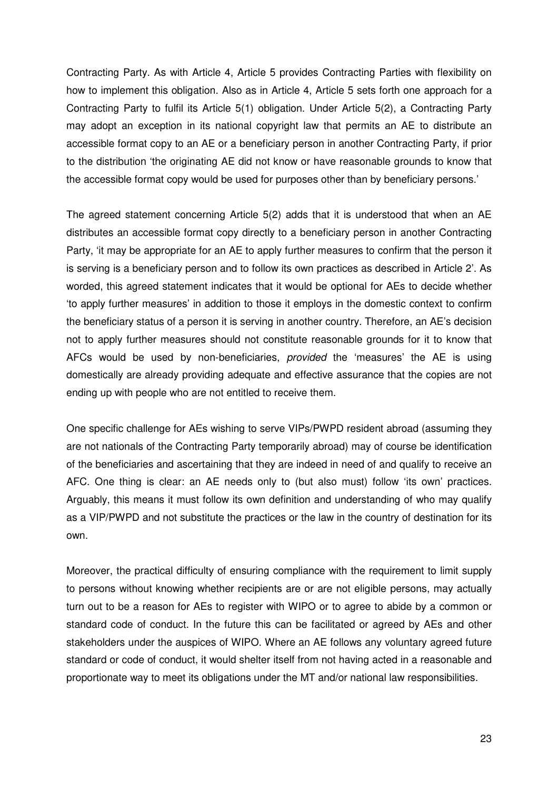Contracting Party. As with Article 4, Article 5 provides Contracting Parties with flexibility on how to implement this obligation. Also as in Article 4, Article 5 sets forth one approach for a Contracting Party to fulfil its Article 5(1) obligation. Under Article 5(2), a Contracting Party may adopt an exception in its national copyright law that permits an AE to distribute an accessible format copy to an AE or a beneficiary person in another Contracting Party, if prior to the distribution 'the originating AE did not know or have reasonable grounds to know that the accessible format copy would be used for purposes other than by beneficiary persons.'

The agreed statement concerning Article 5(2) adds that it is understood that when an AE distributes an accessible format copy directly to a beneficiary person in another Contracting Party, 'it may be appropriate for an AE to apply further measures to confirm that the person it is serving is a beneficiary person and to follow its own practices as described in Article 2'. As worded, this agreed statement indicates that it would be optional for AEs to decide whether 'to apply further measures' in addition to those it employs in the domestic context to confirm the beneficiary status of a person it is serving in another country. Therefore, an AE's decision not to apply further measures should not constitute reasonable grounds for it to know that AFCs would be used by non-beneficiaries, *provided* the 'measures' the AE is using domestically are already providing adequate and effective assurance that the copies are not ending up with people who are not entitled to receive them.

One specific challenge for AEs wishing to serve VIPs/PWPD resident abroad (assuming they are not nationals of the Contracting Party temporarily abroad) may of course be identification of the beneficiaries and ascertaining that they are indeed in need of and qualify to receive an AFC. One thing is clear: an AE needs only to (but also must) follow 'its own' practices. Arguably, this means it must follow its own definition and understanding of who may qualify as a VIP/PWPD and not substitute the practices or the law in the country of destination for its own.

Moreover, the practical difficulty of ensuring compliance with the requirement to limit supply to persons without knowing whether recipients are or are not eligible persons, may actually turn out to be a reason for AEs to register with WIPO or to agree to abide by a common or standard code of conduct. In the future this can be facilitated or agreed by AEs and other stakeholders under the auspices of WIPO. Where an AE follows any voluntary agreed future standard or code of conduct, it would shelter itself from not having acted in a reasonable and proportionate way to meet its obligations under the MT and/or national law responsibilities.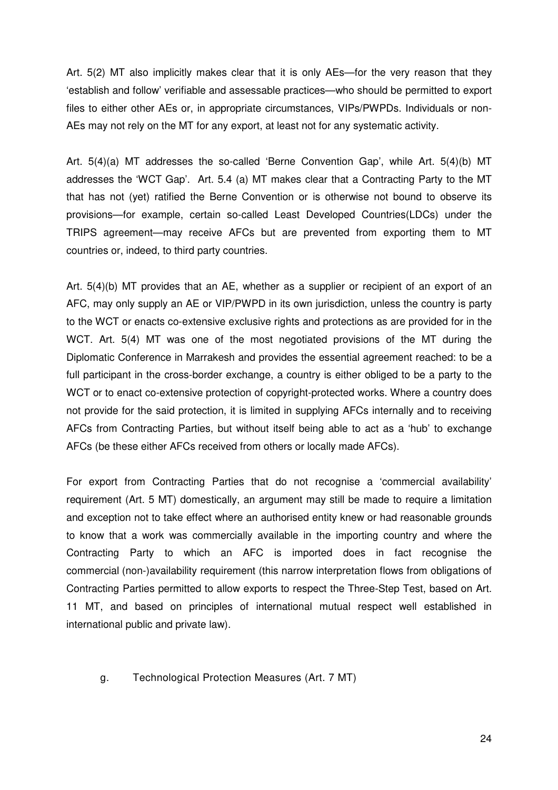Art. 5(2) MT also implicitly makes clear that it is only AEs—for the very reason that they 'establish and follow' verifiable and assessable practices—who should be permitted to export files to either other AEs or, in appropriate circumstances, VIPs/PWPDs. Individuals or non-AEs may not rely on the MT for any export, at least not for any systematic activity.

Art. 5(4)(a) MT addresses the so-called 'Berne Convention Gap', while Art. 5(4)(b) MT addresses the 'WCT Gap'. Art. 5.4 (a) MT makes clear that a Contracting Party to the MT that has not (yet) ratified the Berne Convention or is otherwise not bound to observe its provisions—for example, certain so-called Least Developed Countries(LDCs) under the TRIPS agreement—may receive AFCs but are prevented from exporting them to MT countries or, indeed, to third party countries.

Art. 5(4)(b) MT provides that an AE, whether as a supplier or recipient of an export of an AFC, may only supply an AE or VIP/PWPD in its own jurisdiction, unless the country is party to the WCT or enacts co-extensive exclusive rights and protections as are provided for in the WCT. Art. 5(4) MT was one of the most negotiated provisions of the MT during the Diplomatic Conference in Marrakesh and provides the essential agreement reached: to be a full participant in the cross-border exchange, a country is either obliged to be a party to the WCT or to enact co-extensive protection of copyright-protected works. Where a country does not provide for the said protection, it is limited in supplying AFCs internally and to receiving AFCs from Contracting Parties, but without itself being able to act as a 'hub' to exchange AFCs (be these either AFCs received from others or locally made AFCs).

For export from Contracting Parties that do not recognise a 'commercial availability' requirement (Art. 5 MT) domestically, an argument may still be made to require a limitation and exception not to take effect where an authorised entity knew or had reasonable grounds to know that a work was commercially available in the importing country and where the Contracting Party to which an AFC is imported does in fact recognise the commercial (non-)availability requirement (this narrow interpretation flows from obligations of Contracting Parties permitted to allow exports to respect the Three-Step Test, based on Art. 11 MT, and based on principles of international mutual respect well established in international public and private law).

g. Technological Protection Measures (Art. 7 MT)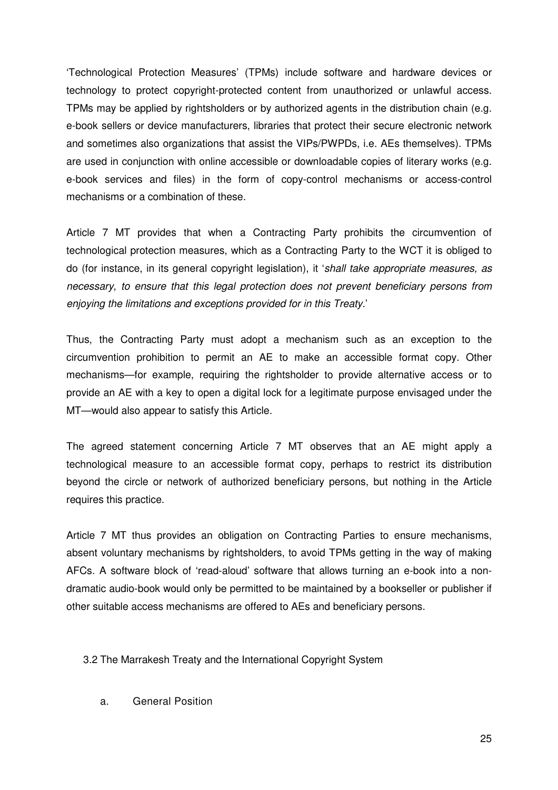'Technological Protection Measures' (TPMs) include software and hardware devices or technology to protect copyright-protected content from unauthorized or unlawful access. TPMs may be applied by rightsholders or by authorized agents in the distribution chain (e.g. e-book sellers or device manufacturers, libraries that protect their secure electronic network and sometimes also organizations that assist the VIPs/PWPDs, i.e. AEs themselves). TPMs are used in conjunction with online accessible or downloadable copies of literary works (e.g. e-book services and files) in the form of copy-control mechanisms or access-control mechanisms or a combination of these.

Article 7 MT provides that when a Contracting Party prohibits the circumvention of technological protection measures, which as a Contracting Party to the WCT it is obliged to do (for instance, in its general copyright legislation), it '*shall take appropriate measures, as necessary, to ensure that this legal protection does not prevent beneficiary persons from enjoying the limitations and exceptions provided for in this Treaty.*'

Thus, the Contracting Party must adopt a mechanism such as an exception to the circumvention prohibition to permit an AE to make an accessible format copy. Other mechanisms—for example, requiring the rightsholder to provide alternative access or to provide an AE with a key to open a digital lock for a legitimate purpose envisaged under the MT—would also appear to satisfy this Article.

The agreed statement concerning Article 7 MT observes that an AE might apply a technological measure to an accessible format copy, perhaps to restrict its distribution beyond the circle or network of authorized beneficiary persons, but nothing in the Article requires this practice.

Article 7 MT thus provides an obligation on Contracting Parties to ensure mechanisms, absent voluntary mechanisms by rightsholders, to avoid TPMs getting in the way of making AFCs. A software block of 'read-aloud' software that allows turning an e-book into a nondramatic audio-book would only be permitted to be maintained by a bookseller or publisher if other suitable access mechanisms are offered to AEs and beneficiary persons.

3.2 The Marrakesh Treaty and the International Copyright System

a. General Position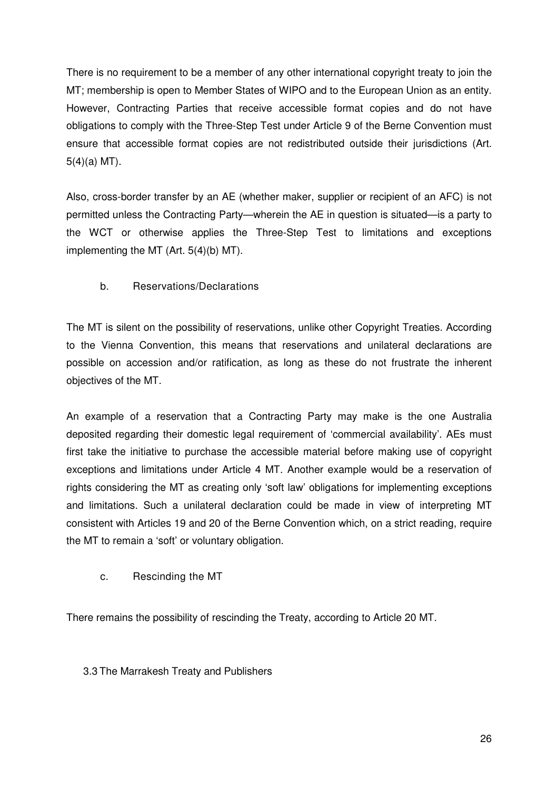There is no requirement to be a member of any other international copyright treaty to join the MT; membership is open to Member States of WIPO and to the European Union as an entity. However, Contracting Parties that receive accessible format copies and do not have obligations to comply with the Three-Step Test under Article 9 of the Berne Convention must ensure that accessible format copies are not redistributed outside their jurisdictions (Art.  $5(4)(a)$  MT).

Also, cross-border transfer by an AE (whether maker, supplier or recipient of an AFC) is not permitted unless the Contracting Party—wherein the AE in question is situated—is a party to the WCT or otherwise applies the Three-Step Test to limitations and exceptions implementing the MT (Art. 5(4)(b) MT).

### b. Reservations/Declarations

The MT is silent on the possibility of reservations, unlike other Copyright Treaties. According to the Vienna Convention, this means that reservations and unilateral declarations are possible on accession and/or ratification, as long as these do not frustrate the inherent objectives of the MT.

An example of a reservation that a Contracting Party may make is the one Australia deposited regarding their domestic legal requirement of 'commercial availability'. AEs must first take the initiative to purchase the accessible material before making use of copyright exceptions and limitations under Article 4 MT. Another example would be a reservation of rights considering the MT as creating only 'soft law' obligations for implementing exceptions and limitations. Such a unilateral declaration could be made in view of interpreting MT consistent with Articles 19 and 20 of the Berne Convention which, on a strict reading, require the MT to remain a 'soft' or voluntary obligation.

### c. Rescinding the MT

There remains the possibility of rescinding the Treaty, according to Article 20 MT.

### 3.3 The Marrakesh Treaty and Publishers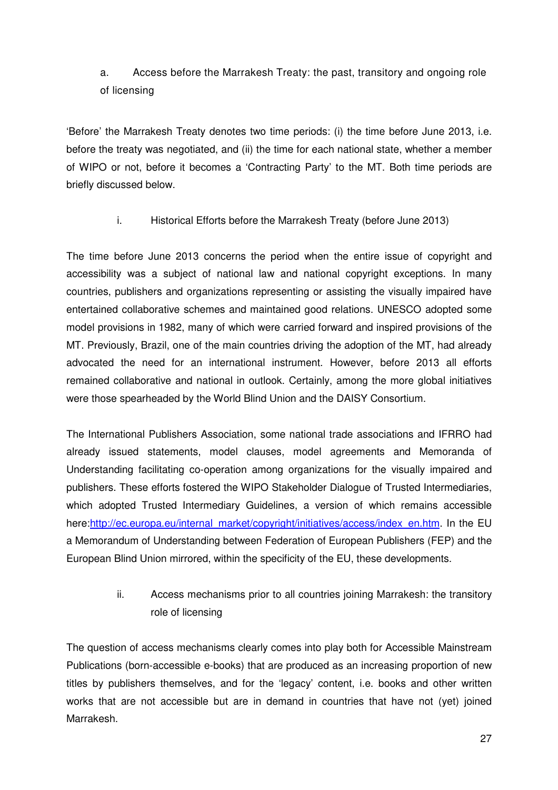# a. Access before the Marrakesh Treaty: the past, transitory and ongoing role of licensing

'Before' the Marrakesh Treaty denotes two time periods: (i) the time before June 2013, i.e. before the treaty was negotiated, and (ii) the time for each national state, whether a member of WIPO or not, before it becomes a 'Contracting Party' to the MT. Both time periods are briefly discussed below.

i. Historical Efforts before the Marrakesh Treaty (before June 2013)

The time before June 2013 concerns the period when the entire issue of copyright and accessibility was a subject of national law and national copyright exceptions. In many countries, publishers and organizations representing or assisting the visually impaired have entertained collaborative schemes and maintained good relations. UNESCO adopted some model provisions in 1982, many of which were carried forward and inspired provisions of the MT. Previously, Brazil, one of the main countries driving the adoption of the MT, had already advocated the need for an international instrument. However, before 2013 all efforts remained collaborative and national in outlook. Certainly, among the more global initiatives were those spearheaded by the World Blind Union and the DAISY Consortium.

The International Publishers Association, some national trade associations and IFRRO had already issued statements, model clauses, model agreements and Memoranda of Understanding facilitating co-operation among organizations for the visually impaired and publishers. These efforts fostered the WIPO Stakeholder Dialogue of Trusted Intermediaries, which adopted Trusted Intermediary Guidelines, a version of which remains accessible here:http://ec.europa.eu/internal\_market/copyright/initiatives/access/index\_en.htm. In the EU a Memorandum of Understanding between Federation of European Publishers (FEP) and the European Blind Union mirrored, within the specificity of the EU, these developments.

# ii. Access mechanisms prior to all countries joining Marrakesh: the transitory role of licensing

The question of access mechanisms clearly comes into play both for Accessible Mainstream Publications (born-accessible e-books) that are produced as an increasing proportion of new titles by publishers themselves, and for the 'legacy' content, i.e. books and other written works that are not accessible but are in demand in countries that have not (yet) joined Marrakesh.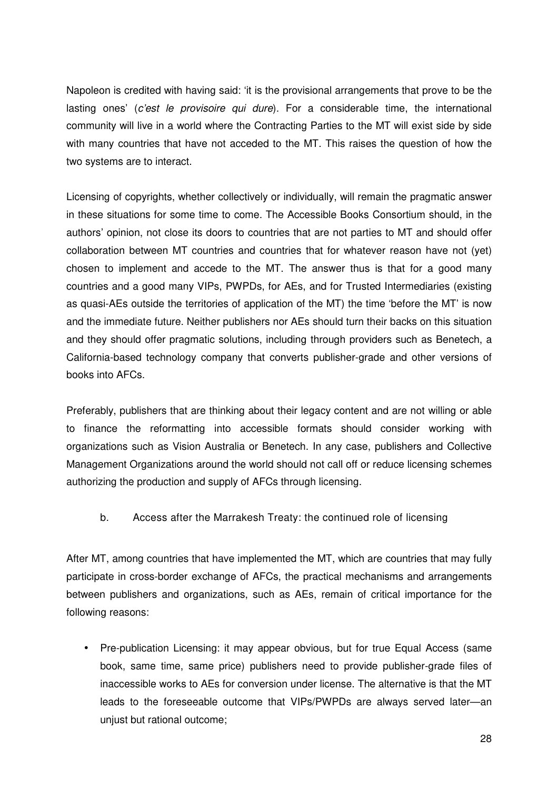Napoleon is credited with having said: 'it is the provisional arrangements that prove to be the lasting ones' (*c'est le provisoire qui dure*). For a considerable time, the international community will live in a world where the Contracting Parties to the MT will exist side by side with many countries that have not acceded to the MT. This raises the question of how the two systems are to interact.

Licensing of copyrights, whether collectively or individually, will remain the pragmatic answer in these situations for some time to come. The Accessible Books Consortium should, in the authors' opinion, not close its doors to countries that are not parties to MT and should offer collaboration between MT countries and countries that for whatever reason have not (yet) chosen to implement and accede to the MT. The answer thus is that for a good many countries and a good many VIPs, PWPDs, for AEs, and for Trusted Intermediaries (existing as quasi-AEs outside the territories of application of the MT) the time 'before the MT' is now and the immediate future. Neither publishers nor AEs should turn their backs on this situation and they should offer pragmatic solutions, including through providers such as Benetech, a California-based technology company that converts publisher-grade and other versions of books into AFCs.

Preferably, publishers that are thinking about their legacy content and are not willing or able to finance the reformatting into accessible formats should consider working with organizations such as Vision Australia or Benetech. In any case, publishers and Collective Management Organizations around the world should not call off or reduce licensing schemes authorizing the production and supply of AFCs through licensing.

b. Access after the Marrakesh Treaty: the continued role of licensing

After MT, among countries that have implemented the MT, which are countries that may fully participate in cross-border exchange of AFCs, the practical mechanisms and arrangements between publishers and organizations, such as AEs, remain of critical importance for the following reasons:

• Pre-publication Licensing: it may appear obvious, but for true Equal Access (same book, same time, same price) publishers need to provide publisher-grade files of inaccessible works to AEs for conversion under license. The alternative is that the MT leads to the foreseeable outcome that VIPs/PWPDs are always served later—an unjust but rational outcome;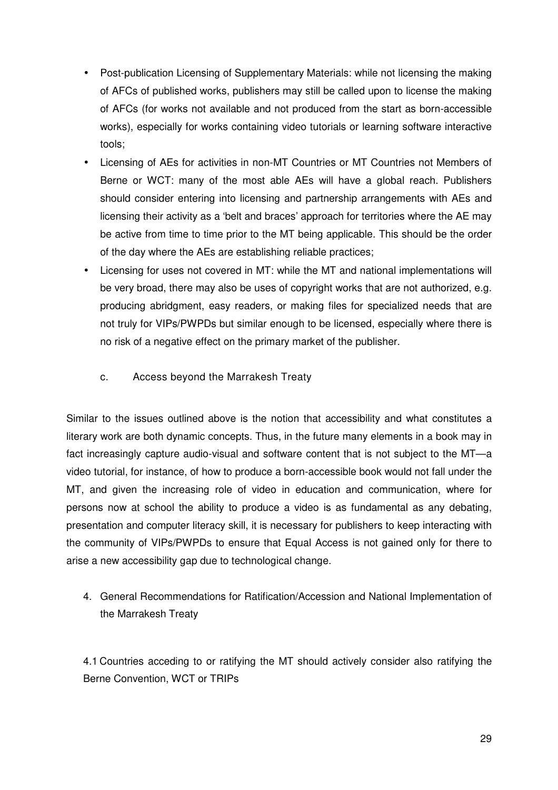- Post-publication Licensing of Supplementary Materials: while not licensing the making of AFCs of published works, publishers may still be called upon to license the making of AFCs (for works not available and not produced from the start as born-accessible works), especially for works containing video tutorials or learning software interactive tools;
- Licensing of AEs for activities in non-MT Countries or MT Countries not Members of Berne or WCT: many of the most able AEs will have a global reach. Publishers should consider entering into licensing and partnership arrangements with AEs and licensing their activity as a 'belt and braces' approach for territories where the AE may be active from time to time prior to the MT being applicable. This should be the order of the day where the AEs are establishing reliable practices;
- Licensing for uses not covered in MT: while the MT and national implementations will be very broad, there may also be uses of copyright works that are not authorized, e.g. producing abridgment, easy readers, or making files for specialized needs that are not truly for VIPs/PWPDs but similar enough to be licensed, especially where there is no risk of a negative effect on the primary market of the publisher.
	- c. Access beyond the Marrakesh Treaty

Similar to the issues outlined above is the notion that accessibility and what constitutes a literary work are both dynamic concepts. Thus, in the future many elements in a book may in fact increasingly capture audio-visual and software content that is not subject to the MT—a video tutorial, for instance, of how to produce a born-accessible book would not fall under the MT, and given the increasing role of video in education and communication, where for persons now at school the ability to produce a video is as fundamental as any debating, presentation and computer literacy skill, it is necessary for publishers to keep interacting with the community of VIPs/PWPDs to ensure that Equal Access is not gained only for there to arise a new accessibility gap due to technological change.

4. General Recommendations for Ratification/Accession and National Implementation of the Marrakesh Treaty

4.1 Countries acceding to or ratifying the MT should actively consider also ratifying the Berne Convention, WCT or TRIPs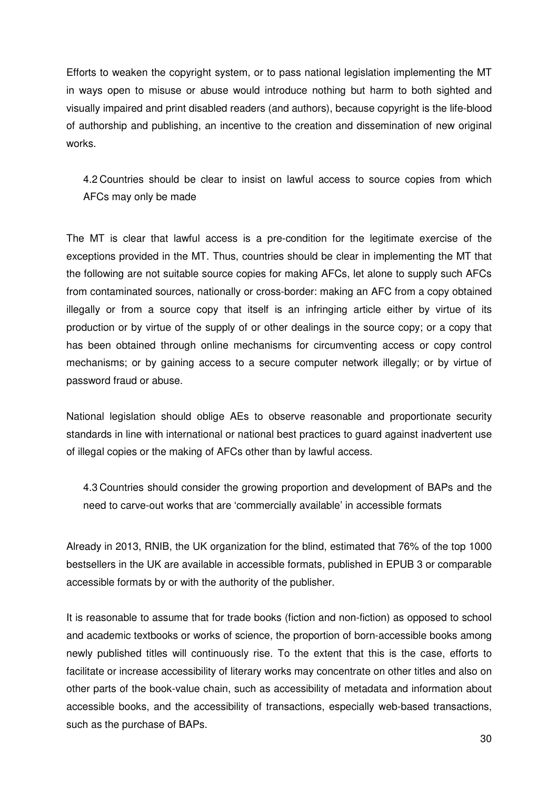Efforts to weaken the copyright system, or to pass national legislation implementing the MT in ways open to misuse or abuse would introduce nothing but harm to both sighted and visually impaired and print disabled readers (and authors), because copyright is the life-blood of authorship and publishing, an incentive to the creation and dissemination of new original works.

4.2 Countries should be clear to insist on lawful access to source copies from which AFCs may only be made

The MT is clear that lawful access is a pre-condition for the legitimate exercise of the exceptions provided in the MT. Thus, countries should be clear in implementing the MT that the following are not suitable source copies for making AFCs, let alone to supply such AFCs from contaminated sources, nationally or cross-border: making an AFC from a copy obtained illegally or from a source copy that itself is an infringing article either by virtue of its production or by virtue of the supply of or other dealings in the source copy; or a copy that has been obtained through online mechanisms for circumventing access or copy control mechanisms; or by gaining access to a secure computer network illegally; or by virtue of password fraud or abuse.

National legislation should oblige AEs to observe reasonable and proportionate security standards in line with international or national best practices to guard against inadvertent use of illegal copies or the making of AFCs other than by lawful access.

4.3 Countries should consider the growing proportion and development of BAPs and the need to carve-out works that are 'commercially available' in accessible formats

Already in 2013, RNIB, the UK organization for the blind, estimated that 76% of the top 1000 bestsellers in the UK are available in accessible formats, published in EPUB 3 or comparable accessible formats by or with the authority of the publisher.

It is reasonable to assume that for trade books (fiction and non-fiction) as opposed to school and academic textbooks or works of science, the proportion of born-accessible books among newly published titles will continuously rise. To the extent that this is the case, efforts to facilitate or increase accessibility of literary works may concentrate on other titles and also on other parts of the book-value chain, such as accessibility of metadata and information about accessible books, and the accessibility of transactions, especially web-based transactions, such as the purchase of BAPs.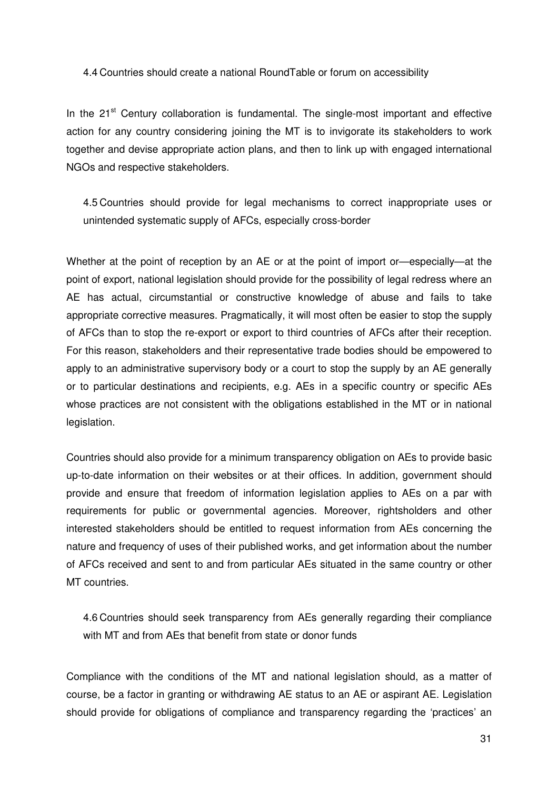#### 4.4 Countries should create a national RoundTable or forum on accessibility

In the  $21<sup>st</sup>$  Century collaboration is fundamental. The single-most important and effective action for any country considering joining the MT is to invigorate its stakeholders to work together and devise appropriate action plans, and then to link up with engaged international NGOs and respective stakeholders.

4.5 Countries should provide for legal mechanisms to correct inappropriate uses or unintended systematic supply of AFCs, especially cross-border

Whether at the point of reception by an AE or at the point of import or—especially—at the point of export, national legislation should provide for the possibility of legal redress where an AE has actual, circumstantial or constructive knowledge of abuse and fails to take appropriate corrective measures. Pragmatically, it will most often be easier to stop the supply of AFCs than to stop the re-export or export to third countries of AFCs after their reception. For this reason, stakeholders and their representative trade bodies should be empowered to apply to an administrative supervisory body or a court to stop the supply by an AE generally or to particular destinations and recipients, e.g. AEs in a specific country or specific AEs whose practices are not consistent with the obligations established in the MT or in national legislation.

Countries should also provide for a minimum transparency obligation on AEs to provide basic up-to-date information on their websites or at their offices. In addition, government should provide and ensure that freedom of information legislation applies to AEs on a par with requirements for public or governmental agencies. Moreover, rightsholders and other interested stakeholders should be entitled to request information from AEs concerning the nature and frequency of uses of their published works, and get information about the number of AFCs received and sent to and from particular AEs situated in the same country or other MT countries.

4.6 Countries should seek transparency from AEs generally regarding their compliance with MT and from AEs that benefit from state or donor funds

Compliance with the conditions of the MT and national legislation should, as a matter of course, be a factor in granting or withdrawing AE status to an AE or aspirant AE. Legislation should provide for obligations of compliance and transparency regarding the 'practices' an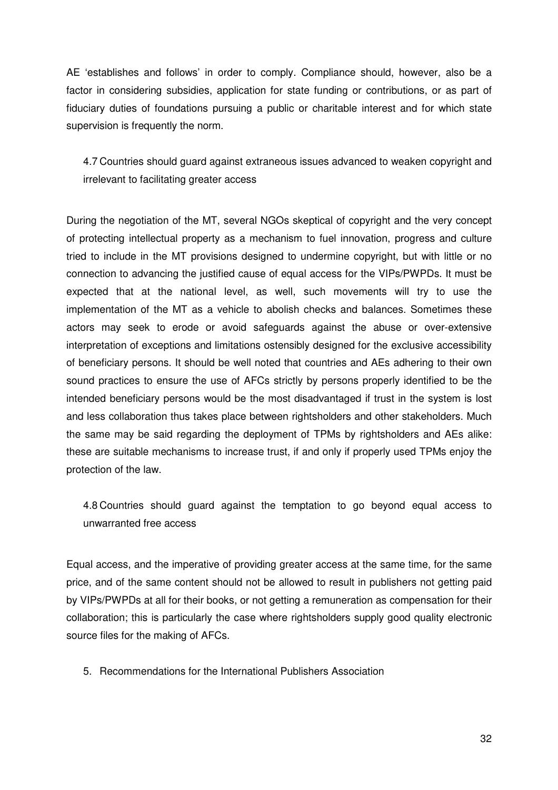AE 'establishes and follows' in order to comply. Compliance should, however, also be a factor in considering subsidies, application for state funding or contributions, or as part of fiduciary duties of foundations pursuing a public or charitable interest and for which state supervision is frequently the norm.

4.7 Countries should guard against extraneous issues advanced to weaken copyright and irrelevant to facilitating greater access

During the negotiation of the MT, several NGOs skeptical of copyright and the very concept of protecting intellectual property as a mechanism to fuel innovation, progress and culture tried to include in the MT provisions designed to undermine copyright, but with little or no connection to advancing the justified cause of equal access for the VIPs/PWPDs. It must be expected that at the national level, as well, such movements will try to use the implementation of the MT as a vehicle to abolish checks and balances. Sometimes these actors may seek to erode or avoid safeguards against the abuse or over-extensive interpretation of exceptions and limitations ostensibly designed for the exclusive accessibility of beneficiary persons. It should be well noted that countries and AEs adhering to their own sound practices to ensure the use of AFCs strictly by persons properly identified to be the intended beneficiary persons would be the most disadvantaged if trust in the system is lost and less collaboration thus takes place between rightsholders and other stakeholders. Much the same may be said regarding the deployment of TPMs by rightsholders and AEs alike: these are suitable mechanisms to increase trust, if and only if properly used TPMs enjoy the protection of the law.

4.8 Countries should guard against the temptation to go beyond equal access to unwarranted free access

Equal access, and the imperative of providing greater access at the same time, for the same price, and of the same content should not be allowed to result in publishers not getting paid by VIPs/PWPDs at all for their books, or not getting a remuneration as compensation for their collaboration; this is particularly the case where rightsholders supply good quality electronic source files for the making of AFCs.

5. Recommendations for the International Publishers Association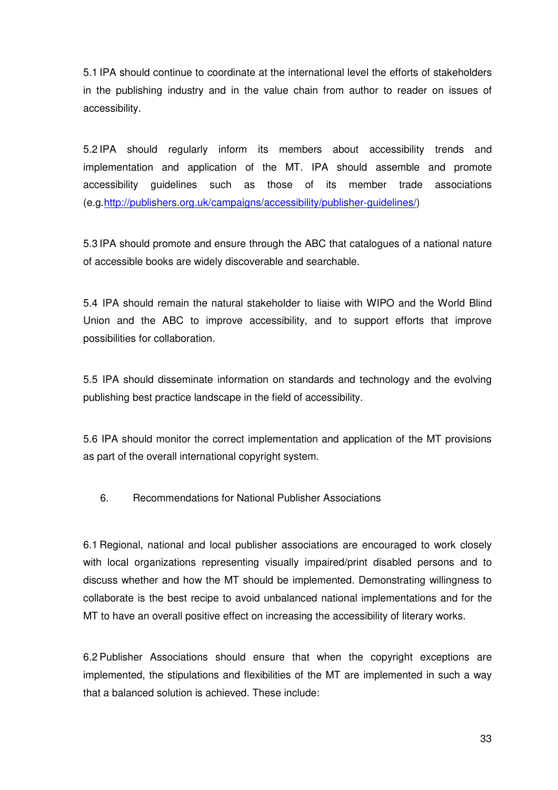5.1 IPA should continue to coordinate at the international level the efforts of stakeholders in the publishing industry and in the value chain from author to reader on issues of accessibility.

5.2 IPA should regularly inform its members about accessibility trends and implementation and application of the MT. IPA should assemble and promote accessibility guidelines such as those of its member trade associations (e.g.http://publishers.org.uk/campaigns/accessibility/publisher-guidelines/)

5.3 IPA should promote and ensure through the ABC that catalogues of a national nature of accessible books are widely discoverable and searchable.

5.4 IPA should remain the natural stakeholder to liaise with WIPO and the World Blind Union and the ABC to improve accessibility, and to support efforts that improve possibilities for collaboration.

5.5 IPA should disseminate information on standards and technology and the evolving publishing best practice landscape in the field of accessibility.

5.6 IPA should monitor the correct implementation and application of the MT provisions as part of the overall international copyright system.

6. Recommendations for National Publisher Associations

6.1 Regional, national and local publisher associations are encouraged to work closely with local organizations representing visually impaired/print disabled persons and to discuss whether and how the MT should be implemented. Demonstrating willingness to collaborate is the best recipe to avoid unbalanced national implementations and for the MT to have an overall positive effect on increasing the accessibility of literary works.

6.2 Publisher Associations should ensure that when the copyright exceptions are implemented, the stipulations and flexibilities of the MT are implemented in such a way that a balanced solution is achieved. These include: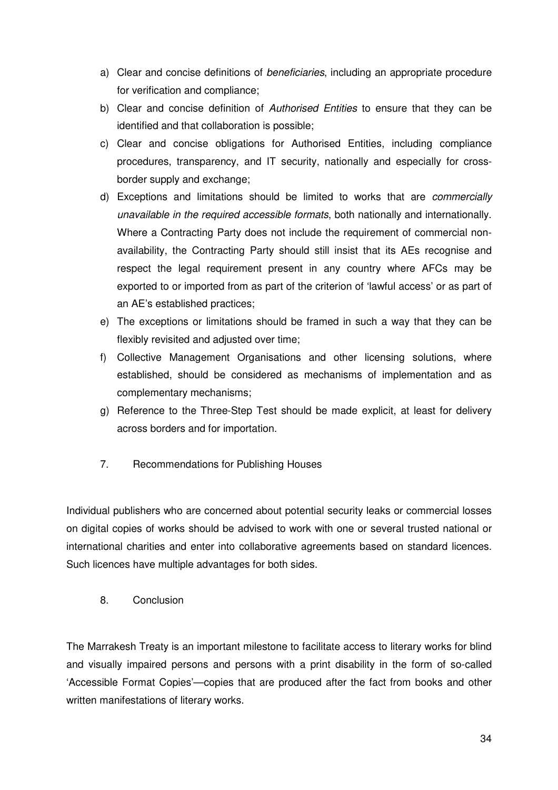- a) Clear and concise definitions of *beneficiaries*, including an appropriate procedure for verification and compliance;
- b) Clear and concise definition of *Authorised Entities* to ensure that they can be identified and that collaboration is possible;
- c) Clear and concise obligations for Authorised Entities, including compliance procedures, transparency, and IT security, nationally and especially for crossborder supply and exchange;
- d) Exceptions and limitations should be limited to works that are *commercially unavailable in the required accessible formats*, both nationally and internationally. Where a Contracting Party does not include the requirement of commercial nonavailability, the Contracting Party should still insist that its AEs recognise and respect the legal requirement present in any country where AFCs may be exported to or imported from as part of the criterion of 'lawful access' or as part of an AE's established practices;
- e) The exceptions or limitations should be framed in such a way that they can be flexibly revisited and adjusted over time;
- f) Collective Management Organisations and other licensing solutions, where established, should be considered as mechanisms of implementation and as complementary mechanisms;
- g) Reference to the Three-Step Test should be made explicit, at least for delivery across borders and for importation.
- 7. Recommendations for Publishing Houses

Individual publishers who are concerned about potential security leaks or commercial losses on digital copies of works should be advised to work with one or several trusted national or international charities and enter into collaborative agreements based on standard licences. Such licences have multiple advantages for both sides.

8. Conclusion

The Marrakesh Treaty is an important milestone to facilitate access to literary works for blind and visually impaired persons and persons with a print disability in the form of so-called 'Accessible Format Copies'—copies that are produced after the fact from books and other written manifestations of literary works.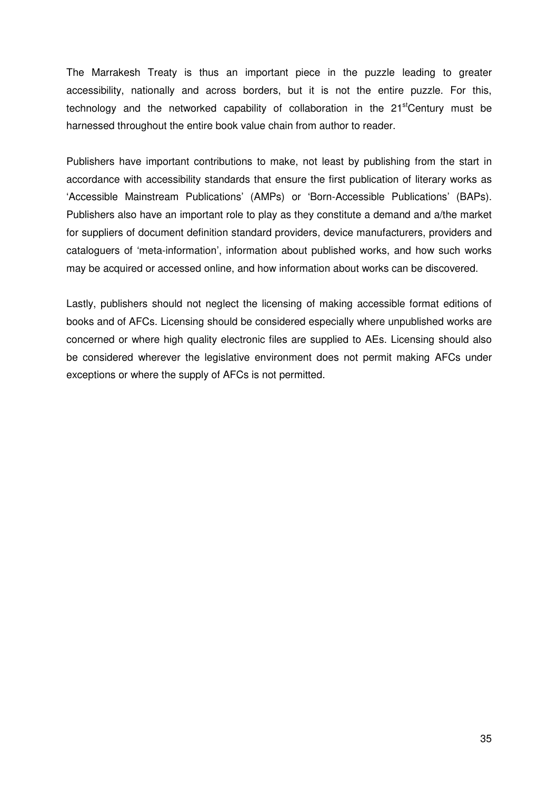The Marrakesh Treaty is thus an important piece in the puzzle leading to greater accessibility, nationally and across borders, but it is not the entire puzzle. For this, technology and the networked capability of collaboration in the  $21<sup>st</sup>$ Century must be harnessed throughout the entire book value chain from author to reader.

Publishers have important contributions to make, not least by publishing from the start in accordance with accessibility standards that ensure the first publication of literary works as 'Accessible Mainstream Publications' (AMPs) or 'Born-Accessible Publications' (BAPs). Publishers also have an important role to play as they constitute a demand and a/the market for suppliers of document definition standard providers, device manufacturers, providers and cataloguers of 'meta-information', information about published works, and how such works may be acquired or accessed online, and how information about works can be discovered.

Lastly, publishers should not neglect the licensing of making accessible format editions of books and of AFCs. Licensing should be considered especially where unpublished works are concerned or where high quality electronic files are supplied to AEs. Licensing should also be considered wherever the legislative environment does not permit making AFCs under exceptions or where the supply of AFCs is not permitted.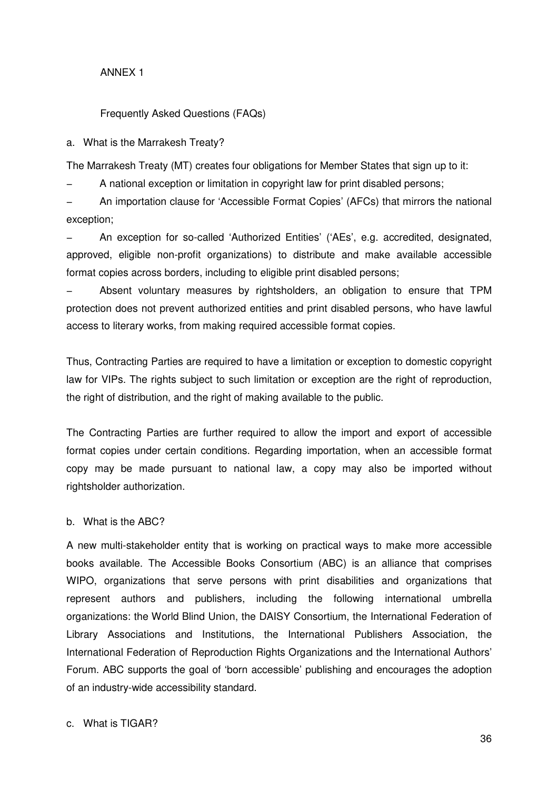### ANNEX 1

### Frequently Asked Questions (FAQs)

a. What is the Marrakesh Treaty?

The Marrakesh Treaty (MT) creates four obligations for Member States that sign up to it:

A national exception or limitation in copyright law for print disabled persons;

− An importation clause for 'Accessible Format Copies' (AFCs) that mirrors the national exception;

− An exception for so-called 'Authorized Entities' ('AEs', e.g. accredited, designated, approved, eligible non-profit organizations) to distribute and make available accessible format copies across borders, including to eligible print disabled persons;

Absent voluntary measures by rightsholders, an obligation to ensure that TPM protection does not prevent authorized entities and print disabled persons, who have lawful access to literary works, from making required accessible format copies.

Thus, Contracting Parties are required to have a limitation or exception to domestic copyright law for VIPs. The rights subject to such limitation or exception are the right of reproduction, the right of distribution, and the right of making available to the public.

The Contracting Parties are further required to allow the import and export of accessible format copies under certain conditions. Regarding importation, when an accessible format copy may be made pursuant to national law, a copy may also be imported without rightsholder authorization.

### b. What is the ABC?

A new multi-stakeholder entity that is working on practical ways to make more accessible books available. The Accessible Books Consortium (ABC) is an alliance that comprises WIPO, organizations that serve persons with print disabilities and organizations that represent authors and publishers, including the following international umbrella organizations: the World Blind Union, the DAISY Consortium, the International Federation of Library Associations and Institutions, the International Publishers Association, the International Federation of Reproduction Rights Organizations and the International Authors' Forum. ABC supports the goal of 'born accessible' publishing and encourages the adoption of an industry-wide accessibility standard.

c. What is TIGAR?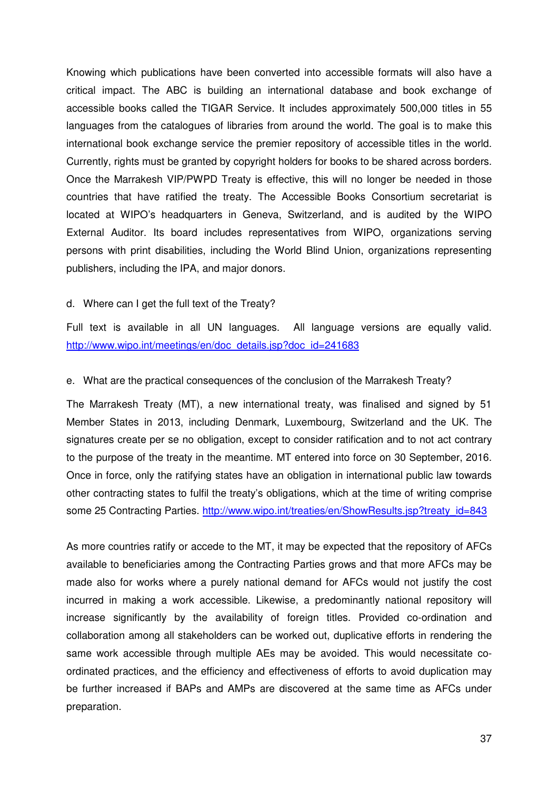Knowing which publications have been converted into accessible formats will also have a critical impact. The ABC is building an international database and book exchange of accessible books called the TIGAR Service. It includes approximately 500,000 titles in 55 languages from the catalogues of libraries from around the world. The goal is to make this international book exchange service the premier repository of accessible titles in the world. Currently, rights must be granted by copyright holders for books to be shared across borders. Once the Marrakesh VIP/PWPD Treaty is effective, this will no longer be needed in those countries that have ratified the treaty. The Accessible Books Consortium secretariat is located at WIPO's headquarters in Geneva, Switzerland, and is audited by the WIPO External Auditor. Its board includes representatives from WIPO, organizations serving persons with print disabilities, including the World Blind Union, organizations representing publishers, including the IPA, and major donors.

#### d. Where can I get the full text of the Treaty?

Full text is available in all UN languages. All language versions are equally valid. http://www.wipo.int/meetings/en/doc\_details.jsp?doc\_id=241683

#### e. What are the practical consequences of the conclusion of the Marrakesh Treaty?

The Marrakesh Treaty (MT), a new international treaty, was finalised and signed by 51 Member States in 2013, including Denmark, Luxembourg, Switzerland and the UK. The signatures create per se no obligation, except to consider ratification and to not act contrary to the purpose of the treaty in the meantime. MT entered into force on 30 September, 2016. Once in force, only the ratifying states have an obligation in international public law towards other contracting states to fulfil the treaty's obligations, which at the time of writing comprise some 25 Contracting Parties. http://www.wipo.int/treaties/en/ShowResults.jsp?treaty\_id=843

As more countries ratify or accede to the MT, it may be expected that the repository of AFCs available to beneficiaries among the Contracting Parties grows and that more AFCs may be made also for works where a purely national demand for AFCs would not justify the cost incurred in making a work accessible. Likewise, a predominantly national repository will increase significantly by the availability of foreign titles. Provided co-ordination and collaboration among all stakeholders can be worked out, duplicative efforts in rendering the same work accessible through multiple AEs may be avoided. This would necessitate coordinated practices, and the efficiency and effectiveness of efforts to avoid duplication may be further increased if BAPs and AMPs are discovered at the same time as AFCs under preparation.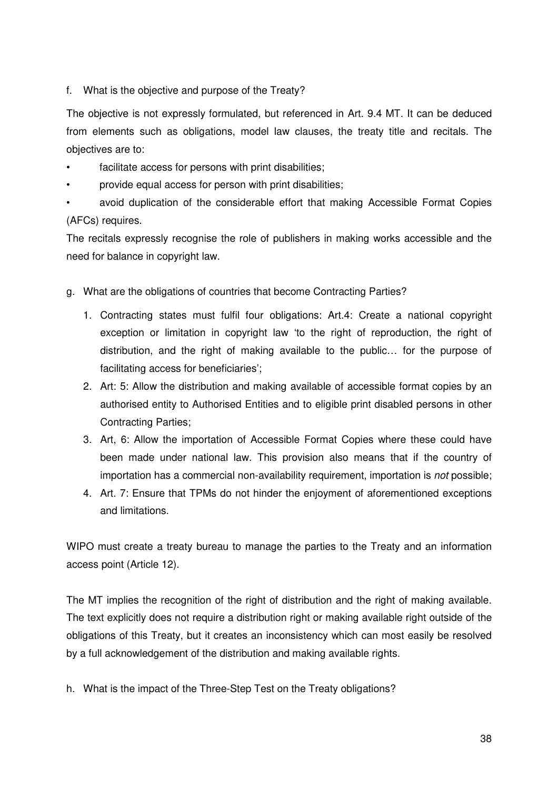f. What is the objective and purpose of the Treaty?

The objective is not expressly formulated, but referenced in Art. 9.4 MT. It can be deduced from elements such as obligations, model law clauses, the treaty title and recitals. The objectives are to:

- facilitate access for persons with print disabilities;
- provide equal access for person with print disabilities;

• avoid duplication of the considerable effort that making Accessible Format Copies (AFCs) requires.

The recitals expressly recognise the role of publishers in making works accessible and the need for balance in copyright law.

- g. What are the obligations of countries that become Contracting Parties?
	- 1. Contracting states must fulfil four obligations: Art.4: Create a national copyright exception or limitation in copyright law 'to the right of reproduction, the right of distribution, and the right of making available to the public… for the purpose of facilitating access for beneficiaries';
	- 2. Art: 5: Allow the distribution and making available of accessible format copies by an authorised entity to Authorised Entities and to eligible print disabled persons in other Contracting Parties;
	- 3. Art, 6: Allow the importation of Accessible Format Copies where these could have been made under national law. This provision also means that if the country of importation has a commercial non-availability requirement, importation is *not* possible;
	- 4. Art. 7: Ensure that TPMs do not hinder the enjoyment of aforementioned exceptions and limitations.

WIPO must create a treaty bureau to manage the parties to the Treaty and an information access point (Article 12).

The MT implies the recognition of the right of distribution and the right of making available. The text explicitly does not require a distribution right or making available right outside of the obligations of this Treaty, but it creates an inconsistency which can most easily be resolved by a full acknowledgement of the distribution and making available rights.

h. What is the impact of the Three-Step Test on the Treaty obligations?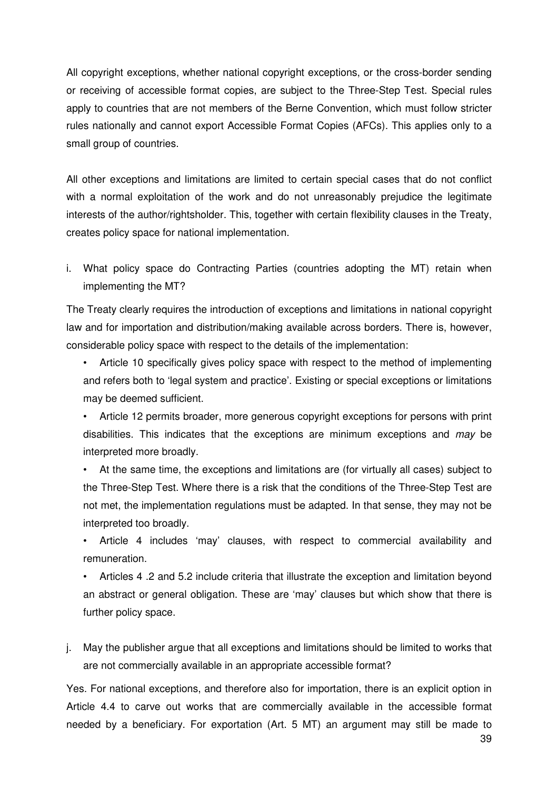All copyright exceptions, whether national copyright exceptions, or the cross-border sending or receiving of accessible format copies, are subject to the Three-Step Test. Special rules apply to countries that are not members of the Berne Convention, which must follow stricter rules nationally and cannot export Accessible Format Copies (AFCs). This applies only to a small group of countries.

All other exceptions and limitations are limited to certain special cases that do not conflict with a normal exploitation of the work and do not unreasonably prejudice the legitimate interests of the author/rightsholder. This, together with certain flexibility clauses in the Treaty, creates policy space for national implementation.

i. What policy space do Contracting Parties (countries adopting the MT) retain when implementing the MT?

The Treaty clearly requires the introduction of exceptions and limitations in national copyright law and for importation and distribution/making available across borders. There is, however, considerable policy space with respect to the details of the implementation:

- Article 10 specifically gives policy space with respect to the method of implementing and refers both to 'legal system and practice'. Existing or special exceptions or limitations may be deemed sufficient.
- Article 12 permits broader, more generous copyright exceptions for persons with print disabilities. This indicates that the exceptions are minimum exceptions and *may* be interpreted more broadly.
- At the same time, the exceptions and limitations are (for virtually all cases) subject to the Three-Step Test. Where there is a risk that the conditions of the Three-Step Test are not met, the implementation regulations must be adapted. In that sense, they may not be interpreted too broadly.
- Article 4 includes 'may' clauses, with respect to commercial availability and remuneration.
- Articles 4 .2 and 5.2 include criteria that illustrate the exception and limitation beyond an abstract or general obligation. These are 'may' clauses but which show that there is further policy space.
- j. May the publisher argue that all exceptions and limitations should be limited to works that are not commercially available in an appropriate accessible format?

Yes. For national exceptions, and therefore also for importation, there is an explicit option in Article 4.4 to carve out works that are commercially available in the accessible format needed by a beneficiary. For exportation (Art. 5 MT) an argument may still be made to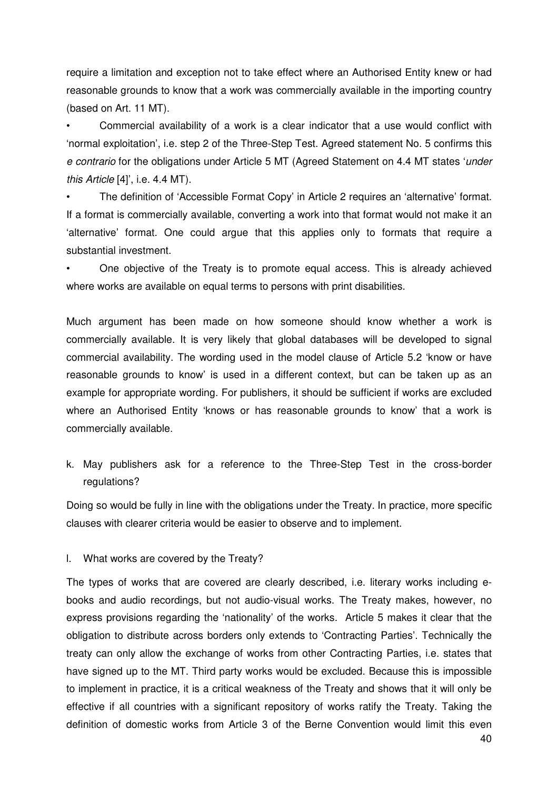require a limitation and exception not to take effect where an Authorised Entity knew or had reasonable grounds to know that a work was commercially available in the importing country (based on Art. 11 MT).

• Commercial availability of a work is a clear indicator that a use would conflict with 'normal exploitation', i.e. step 2 of the Three-Step Test. Agreed statement No. 5 confirms this *e contrario* for the obligations under Article 5 MT (Agreed Statement on 4.4 MT states '*under this Article* [4]', i.e. 4.4 MT).

• The definition of 'Accessible Format Copy' in Article 2 requires an 'alternative' format. If a format is commercially available, converting a work into that format would not make it an 'alternative' format. One could argue that this applies only to formats that require a substantial investment.

• One objective of the Treaty is to promote equal access. This is already achieved where works are available on equal terms to persons with print disabilities.

Much argument has been made on how someone should know whether a work is commercially available. It is very likely that global databases will be developed to signal commercial availability. The wording used in the model clause of Article 5.2 'know or have reasonable grounds to know' is used in a different context, but can be taken up as an example for appropriate wording. For publishers, it should be sufficient if works are excluded where an Authorised Entity 'knows or has reasonable grounds to know' that a work is commercially available.

k. May publishers ask for a reference to the Three-Step Test in the cross-border regulations?

Doing so would be fully in line with the obligations under the Treaty. In practice, more specific clauses with clearer criteria would be easier to observe and to implement.

l. What works are covered by the Treaty?

The types of works that are covered are clearly described, i.e. literary works including ebooks and audio recordings, but not audio-visual works. The Treaty makes, however, no express provisions regarding the 'nationality' of the works. Article 5 makes it clear that the obligation to distribute across borders only extends to 'Contracting Parties'. Technically the treaty can only allow the exchange of works from other Contracting Parties, i.e. states that have signed up to the MT. Third party works would be excluded. Because this is impossible to implement in practice, it is a critical weakness of the Treaty and shows that it will only be effective if all countries with a significant repository of works ratify the Treaty. Taking the definition of domestic works from Article 3 of the Berne Convention would limit this even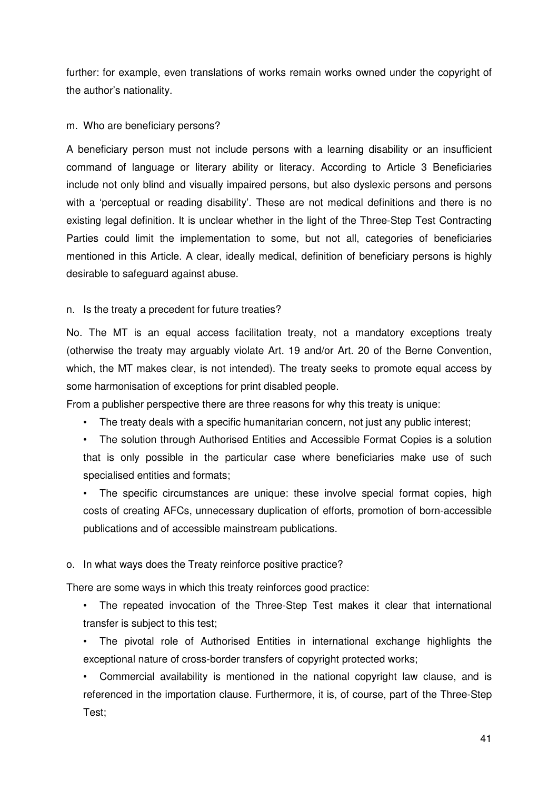further: for example, even translations of works remain works owned under the copyright of the author's nationality.

#### m. Who are beneficiary persons?

A beneficiary person must not include persons with a learning disability or an insufficient command of language or literary ability or literacy. According to Article 3 Beneficiaries include not only blind and visually impaired persons, but also dyslexic persons and persons with a 'perceptual or reading disability'. These are not medical definitions and there is no existing legal definition. It is unclear whether in the light of the Three-Step Test Contracting Parties could limit the implementation to some, but not all, categories of beneficiaries mentioned in this Article. A clear, ideally medical, definition of beneficiary persons is highly desirable to safeguard against abuse.

### n. Is the treaty a precedent for future treaties?

No. The MT is an equal access facilitation treaty, not a mandatory exceptions treaty (otherwise the treaty may arguably violate Art. 19 and/or Art. 20 of the Berne Convention, which, the MT makes clear, is not intended). The treaty seeks to promote equal access by some harmonisation of exceptions for print disabled people.

From a publisher perspective there are three reasons for why this treaty is unique:

- The treaty deals with a specific humanitarian concern, not just any public interest;
- The solution through Authorised Entities and Accessible Format Copies is a solution that is only possible in the particular case where beneficiaries make use of such specialised entities and formats;

• The specific circumstances are unique: these involve special format copies, high costs of creating AFCs, unnecessary duplication of efforts, promotion of born-accessible publications and of accessible mainstream publications.

### o. In what ways does the Treaty reinforce positive practice?

There are some ways in which this treaty reinforces good practice:

• The repeated invocation of the Three-Step Test makes it clear that international transfer is subject to this test;

• The pivotal role of Authorised Entities in international exchange highlights the exceptional nature of cross-border transfers of copyright protected works;

• Commercial availability is mentioned in the national copyright law clause, and is referenced in the importation clause. Furthermore, it is, of course, part of the Three-Step Test;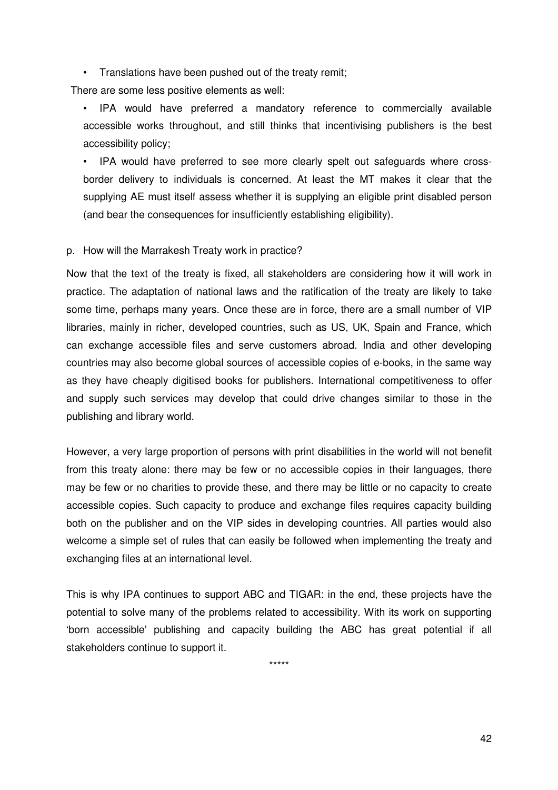• Translations have been pushed out of the treaty remit;

There are some less positive elements as well:

• IPA would have preferred a mandatory reference to commercially available accessible works throughout, and still thinks that incentivising publishers is the best accessibility policy;

• IPA would have preferred to see more clearly spelt out safeguards where crossborder delivery to individuals is concerned. At least the MT makes it clear that the supplying AE must itself assess whether it is supplying an eligible print disabled person (and bear the consequences for insufficiently establishing eligibility).

#### p. How will the Marrakesh Treaty work in practice?

Now that the text of the treaty is fixed, all stakeholders are considering how it will work in practice. The adaptation of national laws and the ratification of the treaty are likely to take some time, perhaps many years. Once these are in force, there are a small number of VIP libraries, mainly in richer, developed countries, such as US, UK, Spain and France, which can exchange accessible files and serve customers abroad. India and other developing countries may also become global sources of accessible copies of e-books, in the same way as they have cheaply digitised books for publishers. International competitiveness to offer and supply such services may develop that could drive changes similar to those in the publishing and library world.

However, a very large proportion of persons with print disabilities in the world will not benefit from this treaty alone: there may be few or no accessible copies in their languages, there may be few or no charities to provide these, and there may be little or no capacity to create accessible copies. Such capacity to produce and exchange files requires capacity building both on the publisher and on the VIP sides in developing countries. All parties would also welcome a simple set of rules that can easily be followed when implementing the treaty and exchanging files at an international level.

This is why IPA continues to support ABC and TIGAR: in the end, these projects have the potential to solve many of the problems related to accessibility. With its work on supporting 'born accessible' publishing and capacity building the ABC has great potential if all stakeholders continue to support it.

\*\*\*\*\*